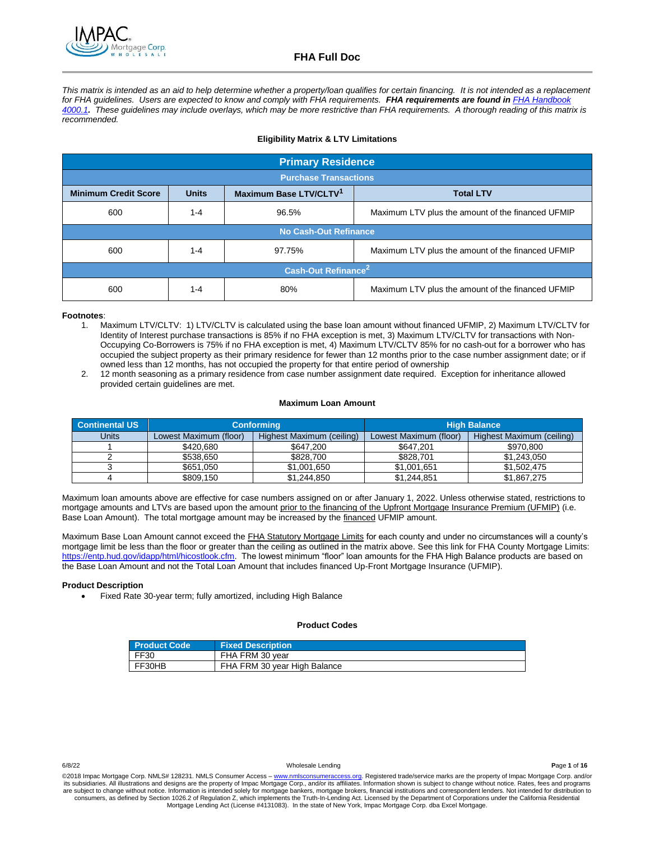*This matrix is intended as an aid to help determine whether a property/loan qualifies for certain financing. It is not intended as a replacement*  for FHA guidelines. Users are expected to know and comply with FHA requirements. FHA requirements are found in FHA Handbook *[4000.1](http://www.allregs.com/tpl/public/fha_freesite.aspx). These guidelines may include overlays, which may be more restrictive than FHA requirements. A thorough reading of this matrix is recommended.*

### **Eligibility Matrix & LTV Limitations**

| <b>Primary Residence</b>                                                                              |         |                              |                                                   |
|-------------------------------------------------------------------------------------------------------|---------|------------------------------|---------------------------------------------------|
| <b>Purchase Transactions</b>                                                                          |         |                              |                                                   |
| Maximum Base LTV/CLTV <sup>1</sup><br><b>Units</b><br><b>Minimum Credit Score</b><br><b>Total LTV</b> |         |                              |                                                   |
| 600                                                                                                   | $1 - 4$ | 96.5%                        | Maximum LTV plus the amount of the financed UFMIP |
|                                                                                                       |         | <b>No Cash-Out Refinance</b> |                                                   |
| 600                                                                                                   | $1 - 4$ | 97.75%                       | Maximum LTV plus the amount of the financed UFMIP |
| Cash-Out Refinance <sup>2</sup>                                                                       |         |                              |                                                   |
| 600                                                                                                   | $1 - 4$ | 80%                          | Maximum LTV plus the amount of the financed UFMIP |

### **Footnotes**:

- 1. Maximum LTV/CLTV: 1) LTV/CLTV is calculated using the base loan amount without financed UFMIP, 2) Maximum LTV/CLTV for Identity of Interest purchase transactions is 85% if no FHA exception is met, 3) Maximum LTV/CLTV for transactions with Non-Occupying Co-Borrowers is 75% if no FHA exception is met, 4) Maximum LTV/CLTV 85% for no cash-out for a borrower who has occupied the subject property as their primary residence for fewer than 12 months prior to the case number assignment date; or if owned less than 12 months, has not occupied the property for that entire period of ownership
- 2. 12 month seasoning as a primary residence from case number assignment date required. Exception for inheritance allowed provided certain guidelines are met.

### **Maximum Loan Amount**

| <b>Continental US</b> |                        | <b>Conforming</b>         |                        | <b>High Balance</b>       |
|-----------------------|------------------------|---------------------------|------------------------|---------------------------|
| Units                 | Lowest Maximum (floor) | Highest Maximum (ceiling) | Lowest Maximum (floor) | Highest Maximum (ceiling) |
|                       | \$420.680              | \$647,200                 | \$647.201              | \$970,800                 |
|                       | \$538.650              | \$828,700                 | \$828.701              | \$1,243,050               |
|                       | \$651,050              | \$1,001.650               | \$1,001,651            | \$1,502,475               |
|                       | \$809.150              | \$1,244,850               | \$1,244,851            | \$1,867,275               |

Maximum loan amounts above are effective for case numbers assigned on or after January 1, 2022. Unless otherwise stated, restrictions to mortgage amounts and LTVs are based upon the amount prior to the financing of the Upfront Mortgage Insurance Premium (UFMIP) (i.e. Base Loan Amount). The total mortgage amount may be increased by the financed UFMIP amount.

Maximum Base Loan Amount cannot exceed the FHA Statutory Mortgage Limits for each county and under no circumstances will a county's mortgage limit be less than the floor or greater than the ceiling as outlined in the matrix above. See this link for FHA County Mortgage Limits: [https://entp.hud.gov/idapp/html/hicostlook.cfm.](https://entp.hud.gov/idapp/html/hicostlook.cfm) The lowest minimum "floor" loan amounts for the FHA High Balance products are based on the Base Loan Amount and not the Total Loan Amount that includes financed Up-Front Mortgage Insurance (UFMIP).

### **Product Description**

Fixed Rate 30-year term; fully amortized, including High Balance

### **Product Codes**

| <b>Product Code</b> | <b>Fixed Description</b>     |
|---------------------|------------------------------|
| FF30                | FHA FRM 30 year              |
| FF30HB              | FHA FRM 30 year High Balance |

6/8/22 Wholesale Lending **P**age **1** of **16**

©2018 Impac Mortgage Corp. NMLS# 128231. NMLS Consumer Access - [www.nmlsconsumeraccess.org.](http://www.nmlsconsumeraccess.org/) Registered trade/service marks are the property of Impac Mortgage Corp. and/or its subsidiaries. All illustrations and designs are the property of Impac Mortgage Corp., and/or its affiliates. Information shown is subject to change without notice. Rates, fees and programs<br>are subject to change without consumers, as defined by Section 1026.2 of Regulation Z, which implements the Truth-In-Lending Act. Licensed by the Department of Corporations under the California Residential<br>Mortgage Lending Act (License #4131083). In th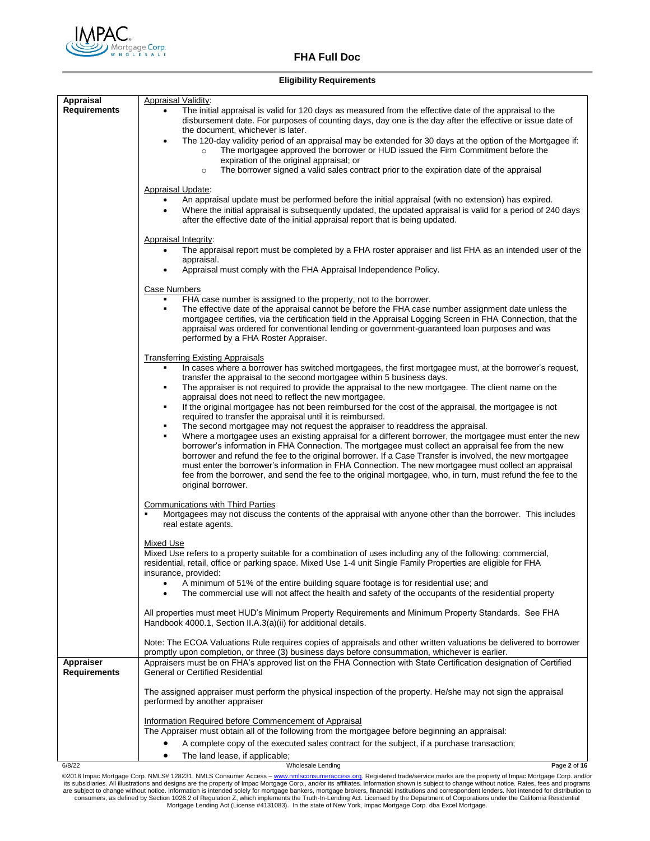

### **Eligibility Requirements**

| Appraisal                        | Appraisal Validity:                                                                                                                                                                                                                                                                                                                                                                                                                                                                                                                                                   |  |  |
|----------------------------------|-----------------------------------------------------------------------------------------------------------------------------------------------------------------------------------------------------------------------------------------------------------------------------------------------------------------------------------------------------------------------------------------------------------------------------------------------------------------------------------------------------------------------------------------------------------------------|--|--|
| <b>Requirements</b>              | The initial appraisal is valid for 120 days as measured from the effective date of the appraisal to the<br>disbursement date. For purposes of counting days, day one is the day after the effective or issue date of<br>the document, whichever is later.                                                                                                                                                                                                                                                                                                             |  |  |
|                                  | The 120-day validity period of an appraisal may be extended for 30 days at the option of the Mortgagee if:<br>The mortgagee approved the borrower or HUD issued the Firm Commitment before the<br>$\circ$<br>expiration of the original appraisal; or                                                                                                                                                                                                                                                                                                                 |  |  |
|                                  | The borrower signed a valid sales contract prior to the expiration date of the appraisal<br>$\circ$                                                                                                                                                                                                                                                                                                                                                                                                                                                                   |  |  |
|                                  | Appraisal Update:                                                                                                                                                                                                                                                                                                                                                                                                                                                                                                                                                     |  |  |
|                                  | An appraisal update must be performed before the initial appraisal (with no extension) has expired.<br>Where the initial appraisal is subsequently updated, the updated appraisal is valid for a period of 240 days<br>$\bullet$<br>after the effective date of the initial appraisal report that is being updated.                                                                                                                                                                                                                                                   |  |  |
|                                  | Appraisal Integrity:                                                                                                                                                                                                                                                                                                                                                                                                                                                                                                                                                  |  |  |
|                                  | The appraisal report must be completed by a FHA roster appraiser and list FHA as an intended user of the<br>٠                                                                                                                                                                                                                                                                                                                                                                                                                                                         |  |  |
|                                  | appraisal.<br>Appraisal must comply with the FHA Appraisal Independence Policy.                                                                                                                                                                                                                                                                                                                                                                                                                                                                                       |  |  |
|                                  |                                                                                                                                                                                                                                                                                                                                                                                                                                                                                                                                                                       |  |  |
|                                  | Case Numbers<br>FHA case number is assigned to the property, not to the borrower.                                                                                                                                                                                                                                                                                                                                                                                                                                                                                     |  |  |
|                                  | The effective date of the appraisal cannot be before the FHA case number assignment date unless the<br>mortgagee certifies, via the certification field in the Appraisal Logging Screen in FHA Connection, that the<br>appraisal was ordered for conventional lending or government-guaranteed loan purposes and was                                                                                                                                                                                                                                                  |  |  |
|                                  | performed by a FHA Roster Appraiser.                                                                                                                                                                                                                                                                                                                                                                                                                                                                                                                                  |  |  |
|                                  | <b>Transferring Existing Appraisals</b>                                                                                                                                                                                                                                                                                                                                                                                                                                                                                                                               |  |  |
|                                  | In cases where a borrower has switched mortgagees, the first mortgagee must, at the borrower's request,                                                                                                                                                                                                                                                                                                                                                                                                                                                               |  |  |
|                                  | transfer the appraisal to the second mortgagee within 5 business days.<br>The appraiser is not required to provide the appraisal to the new mortgagee. The client name on the<br>$\blacksquare$                                                                                                                                                                                                                                                                                                                                                                       |  |  |
|                                  | appraisal does not need to reflect the new mortgagee.                                                                                                                                                                                                                                                                                                                                                                                                                                                                                                                 |  |  |
|                                  | If the original mortgagee has not been reimbursed for the cost of the appraisal, the mortgagee is not<br>required to transfer the appraisal until it is reimbursed.                                                                                                                                                                                                                                                                                                                                                                                                   |  |  |
|                                  | The second mortgagee may not request the appraiser to readdress the appraisal.                                                                                                                                                                                                                                                                                                                                                                                                                                                                                        |  |  |
|                                  | Where a mortgagee uses an existing appraisal for a different borrower, the mortgagee must enter the new<br>borrower's information in FHA Connection. The mortgagee must collect an appraisal fee from the new<br>borrower and refund the fee to the original borrower. If a Case Transfer is involved, the new mortgagee<br>must enter the borrower's information in FHA Connection. The new mortgagee must collect an appraisal<br>fee from the borrower, and send the fee to the original mortgagee, who, in turn, must refund the fee to the<br>original borrower. |  |  |
|                                  | <b>Communications with Third Parties</b>                                                                                                                                                                                                                                                                                                                                                                                                                                                                                                                              |  |  |
|                                  | Mortgagees may not discuss the contents of the appraisal with anyone other than the borrower. This includes<br>real estate agents.                                                                                                                                                                                                                                                                                                                                                                                                                                    |  |  |
|                                  | <b>Mixed Use</b>                                                                                                                                                                                                                                                                                                                                                                                                                                                                                                                                                      |  |  |
|                                  | Mixed Use refers to a property suitable for a combination of uses including any of the following: commercial,<br>residential, retail, office or parking space. Mixed Use 1-4 unit Single Family Properties are eligible for FHA<br>insurance, provided:                                                                                                                                                                                                                                                                                                               |  |  |
|                                  | A minimum of 51% of the entire building square footage is for residential use; and                                                                                                                                                                                                                                                                                                                                                                                                                                                                                    |  |  |
|                                  | The commercial use will not affect the health and safety of the occupants of the residential property                                                                                                                                                                                                                                                                                                                                                                                                                                                                 |  |  |
|                                  | All properties must meet HUD's Minimum Property Requirements and Minimum Property Standards. See FHA<br>Handbook 4000.1, Section II.A.3(a)(ii) for additional details.                                                                                                                                                                                                                                                                                                                                                                                                |  |  |
|                                  | Note: The ECOA Valuations Rule requires copies of appraisals and other written valuations be delivered to borrower<br>promptly upon completion, or three (3) business days before consummation, whichever is earlier.                                                                                                                                                                                                                                                                                                                                                 |  |  |
| Appraiser<br><b>Requirements</b> | Appraisers must be on FHA's approved list on the FHA Connection with State Certification designation of Certified<br>General or Certified Residential                                                                                                                                                                                                                                                                                                                                                                                                                 |  |  |
|                                  | The assigned appraiser must perform the physical inspection of the property. He/she may not sign the appraisal<br>performed by another appraiser                                                                                                                                                                                                                                                                                                                                                                                                                      |  |  |
|                                  | Information Required before Commencement of Appraisal<br>The Appraiser must obtain all of the following from the mortgagee before beginning an appraisal:                                                                                                                                                                                                                                                                                                                                                                                                             |  |  |
|                                  | A complete copy of the executed sales contract for the subject, if a purchase transaction;                                                                                                                                                                                                                                                                                                                                                                                                                                                                            |  |  |
|                                  | The land lease, if applicable;                                                                                                                                                                                                                                                                                                                                                                                                                                                                                                                                        |  |  |

6/8/22 Wholesale Lending **P**age **2** of **16**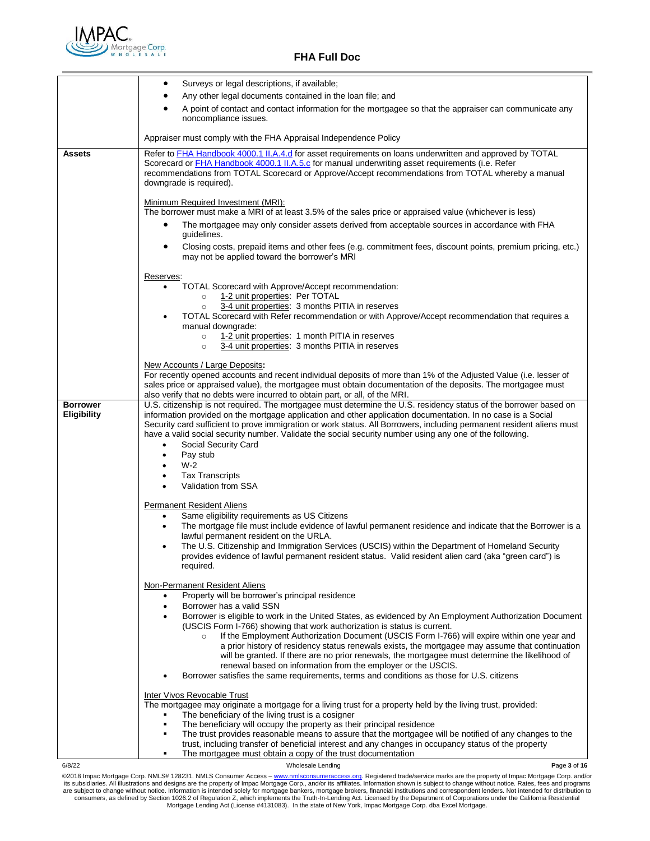

|                                       | Surveys or legal descriptions, if available;<br>$\bullet$                                                                                                                                                                                                                                                                                                                                                                                                                                                                                                                                                                                                        |  |  |  |
|---------------------------------------|------------------------------------------------------------------------------------------------------------------------------------------------------------------------------------------------------------------------------------------------------------------------------------------------------------------------------------------------------------------------------------------------------------------------------------------------------------------------------------------------------------------------------------------------------------------------------------------------------------------------------------------------------------------|--|--|--|
|                                       | Any other legal documents contained in the loan file; and                                                                                                                                                                                                                                                                                                                                                                                                                                                                                                                                                                                                        |  |  |  |
|                                       | A point of contact and contact information for the mortgagee so that the appraiser can communicate any<br>noncompliance issues.                                                                                                                                                                                                                                                                                                                                                                                                                                                                                                                                  |  |  |  |
|                                       | Appraiser must comply with the FHA Appraisal Independence Policy                                                                                                                                                                                                                                                                                                                                                                                                                                                                                                                                                                                                 |  |  |  |
| <b>Assets</b>                         | Refer to FHA Handbook 4000.1 II.A.4.d for asset requirements on loans underwritten and approved by TOTAL<br>Scorecard or <b>FHA Handbook 4000.1 II.A.5.c</b> for manual underwriting asset requirements (i.e. Refer<br>recommendations from TOTAL Scorecard or Approve/Accept recommendations from TOTAL whereby a manual<br>downgrade is required).                                                                                                                                                                                                                                                                                                             |  |  |  |
|                                       | Minimum Required Investment (MRI):<br>The borrower must make a MRI of at least 3.5% of the sales price or appraised value (whichever is less)                                                                                                                                                                                                                                                                                                                                                                                                                                                                                                                    |  |  |  |
|                                       | The mortgagee may only consider assets derived from acceptable sources in accordance with FHA<br>guidelines.                                                                                                                                                                                                                                                                                                                                                                                                                                                                                                                                                     |  |  |  |
|                                       | Closing costs, prepaid items and other fees (e.g. commitment fees, discount points, premium pricing, etc.)<br>٠<br>may not be applied toward the borrower's MRI                                                                                                                                                                                                                                                                                                                                                                                                                                                                                                  |  |  |  |
|                                       | Reserves:<br>TOTAL Scorecard with Approve/Accept recommendation:<br>1-2 unit properties: Per TOTAL<br>$\circ$<br>3-4 unit properties: 3 months PITIA in reserves<br>$\circ$<br>TOTAL Scorecard with Refer recommendation or with Approve/Accept recommendation that requires a<br>manual downgrade:<br>1-2 unit properties: 1 month PITIA in reserves<br>$\circ$<br>3-4 unit properties: 3 months PITIA in reserves<br>$\circ$                                                                                                                                                                                                                                   |  |  |  |
|                                       | New Accounts / Large Deposits:<br>For recently opened accounts and recent individual deposits of more than 1% of the Adjusted Value (i.e. lesser of<br>sales price or appraised value), the mortgagee must obtain documentation of the deposits. The mortgagee must<br>also verify that no debts were incurred to obtain part, or all, of the MRI.                                                                                                                                                                                                                                                                                                               |  |  |  |
| <b>Borrower</b><br><b>Eligibility</b> | U.S. citizenship is not required. The mortgagee must determine the U.S. residency status of the borrower based on<br>information provided on the mortgage application and other application documentation. In no case is a Social<br>Security card sufficient to prove immigration or work status. All Borrowers, including permanent resident aliens must<br>have a valid social security number. Validate the social security number using any one of the following.<br>Social Security Card<br>$\bullet$<br>Pay stub<br>$\bullet$<br>$W-2$<br><b>Tax Transcripts</b><br>Validation from SSA                                                                   |  |  |  |
|                                       | <b>Permanent Resident Aliens</b>                                                                                                                                                                                                                                                                                                                                                                                                                                                                                                                                                                                                                                 |  |  |  |
|                                       | Same eligibility requirements as US Citizens<br>The mortgage file must include evidence of lawful permanent residence and indicate that the Borrower is a<br>$\bullet$<br>lawful permanent resident on the URLA.<br>The U.S. Citizenship and Immigration Services (USCIS) within the Department of Homeland Security<br>provides evidence of lawful permanent resident status. Valid resident alien card (aka "green card") is<br>required.                                                                                                                                                                                                                      |  |  |  |
|                                       | Non-Permanent Resident Aliens<br>Property will be borrower's principal residence<br>٠<br>Borrower has a valid SSN<br>$\bullet$                                                                                                                                                                                                                                                                                                                                                                                                                                                                                                                                   |  |  |  |
|                                       | Borrower is eligible to work in the United States, as evidenced by An Employment Authorization Document<br>(USCIS Form I-766) showing that work authorization is status is current.<br>If the Employment Authorization Document (USCIS Form I-766) will expire within one year and<br>$\circ$<br>a prior history of residency status renewals exists, the mortgagee may assume that continuation<br>will be granted. If there are no prior renewals, the mortgagee must determine the likelihood of<br>renewal based on information from the employer or the USCIS.<br>Borrower satisfies the same requirements, terms and conditions as those for U.S. citizens |  |  |  |
|                                       | <b>Inter Vivos Revocable Trust</b><br>The mortgagee may originate a mortgage for a living trust for a property held by the living trust, provided:<br>The beneficiary of the living trust is a cosigner<br>$\blacksquare$                                                                                                                                                                                                                                                                                                                                                                                                                                        |  |  |  |
|                                       | The beneficiary will occupy the property as their principal residence<br>The trust provides reasonable means to assure that the mortgagee will be notified of any changes to the<br>trust, including transfer of beneficial interest and any changes in occupancy status of the property<br>The mortgagee must obtain a copy of the trust documentation<br>٠                                                                                                                                                                                                                                                                                                     |  |  |  |
| 6/8/22                                | Wholesale Lending<br>Page 3 of 16                                                                                                                                                                                                                                                                                                                                                                                                                                                                                                                                                                                                                                |  |  |  |
|                                       | @2018 Impac Mortgage Corp. NMLS# 128231. NMLS Consumer Access - www.nmlsconsumeraccess.org. Registered trade/service marks are the property of Impac Mortgage Corp. and/or<br>its subsidiaries. All illustrations and designs are the property of Impac Mortgage Corp., and/or its affiliates. Information shown is subject to change without notice. Rates, fees and programs                                                                                                                                                                                                                                                                                   |  |  |  |

its subsidiaries. All illustrations and designs are the property of Impac Mortgage Corp., and/or its affiliates. Information shown is subject to change without notice. Rates, fees and programs<br>are subject to change without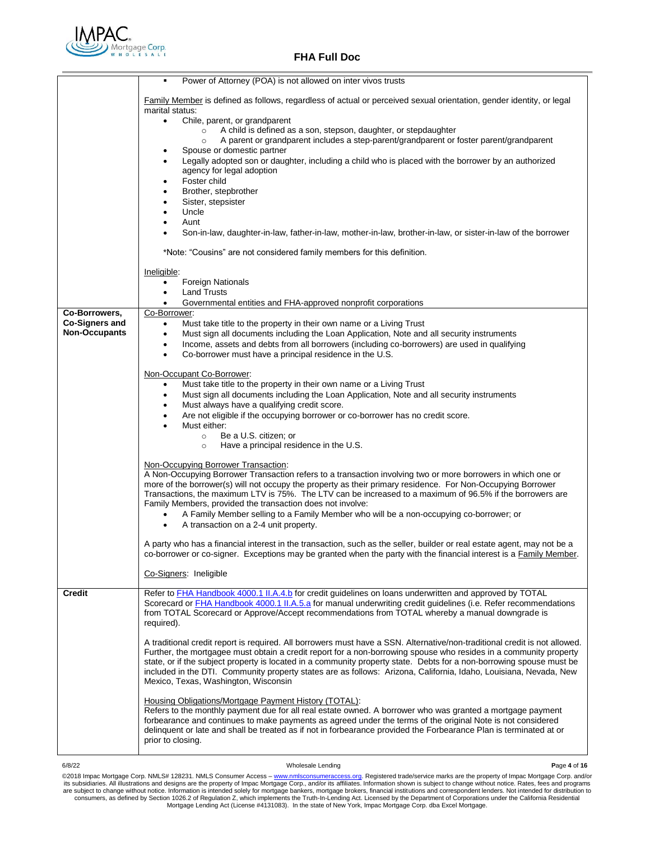

|                       | Power of Attorney (POA) is not allowed on inter vivos trusts<br>٠                                                                                                                                                                                     |
|-----------------------|-------------------------------------------------------------------------------------------------------------------------------------------------------------------------------------------------------------------------------------------------------|
|                       | Family Member is defined as follows, regardless of actual or perceived sexual orientation, gender identity, or legal<br>marital status:                                                                                                               |
|                       | Chile, parent, or grandparent<br>$\bullet$                                                                                                                                                                                                            |
|                       | A child is defined as a son, stepson, daughter, or stepdaughter<br>$\circ$<br>A parent or grandparent includes a step-parent/grandparent or foster parent/grandparent<br>$\circ$                                                                      |
|                       | Spouse or domestic partner                                                                                                                                                                                                                            |
|                       | Legally adopted son or daughter, including a child who is placed with the borrower by an authorized<br>agency for legal adoption                                                                                                                      |
|                       | Foster child                                                                                                                                                                                                                                          |
|                       | Brother, stepbrother<br>٠                                                                                                                                                                                                                             |
|                       | Sister, stepsister<br>Uncle<br>٠                                                                                                                                                                                                                      |
|                       | Aunt<br>٠                                                                                                                                                                                                                                             |
|                       | Son-in-law, daughter-in-law, father-in-law, mother-in-law, brother-in-law, or sister-in-law of the borrower                                                                                                                                           |
|                       | *Note: "Cousins" are not considered family members for this definition.                                                                                                                                                                               |
|                       | Ineligible:                                                                                                                                                                                                                                           |
|                       | <b>Foreign Nationals</b><br>$\bullet$                                                                                                                                                                                                                 |
|                       | <b>Land Trusts</b><br>Governmental entities and FHA-approved nonprofit corporations<br>$\bullet$                                                                                                                                                      |
| Co-Borrowers,         | Co-Borrower:                                                                                                                                                                                                                                          |
| <b>Co-Signers and</b> | Must take title to the property in their own name or a Living Trust<br>$\bullet$                                                                                                                                                                      |
| <b>Non-Occupants</b>  | Must sign all documents including the Loan Application, Note and all security instruments<br>$\bullet$<br>Income, assets and debts from all borrowers (including co-borrowers) are used in qualifying<br>$\bullet$                                    |
|                       | Co-borrower must have a principal residence in the U.S.<br>٠                                                                                                                                                                                          |
|                       | Non-Occupant Co-Borrower:                                                                                                                                                                                                                             |
|                       | Must take title to the property in their own name or a Living Trust<br>٠                                                                                                                                                                              |
|                       | Must sign all documents including the Loan Application, Note and all security instruments<br>٠                                                                                                                                                        |
|                       | Must always have a qualifying credit score.<br>٠<br>Are not eligible if the occupying borrower or co-borrower has no credit score.                                                                                                                    |
|                       | Must either:                                                                                                                                                                                                                                          |
|                       | Be a U.S. citizen; or<br>$\circ$                                                                                                                                                                                                                      |
|                       | Have a principal residence in the U.S.<br>$\circ$                                                                                                                                                                                                     |
|                       | Non-Occupying Borrower Transaction:                                                                                                                                                                                                                   |
|                       | A Non-Occupying Borrower Transaction refers to a transaction involving two or more borrowers in which one or<br>more of the borrower(s) will not occupy the property as their primary residence. For Non-Occupying Borrower                           |
|                       | Transactions, the maximum LTV is 75%. The LTV can be increased to a maximum of 96.5% if the borrowers are                                                                                                                                             |
|                       | Family Members, provided the transaction does not involve:                                                                                                                                                                                            |
|                       | A Family Member selling to a Family Member who will be a non-occupying co-borrower; or<br>A transaction on a 2-4 unit property.<br>$\bullet$                                                                                                          |
|                       |                                                                                                                                                                                                                                                       |
|                       | A party who has a financial interest in the transaction, such as the seller, builder or real estate agent, may not be a<br>co-borrower or co-signer. Exceptions may be granted when the party with the financial interest is a <b>Family Member</b> . |
|                       | Co-Signers: Ineligible                                                                                                                                                                                                                                |
| Credit                | Refer to FHA Handbook 4000.1 II.A.4.b for credit guidelines on loans underwritten and approved by TOTAL                                                                                                                                               |
|                       | Scorecard or <b>FHA Handbook 4000.1 II.A.5.a</b> for manual underwriting credit guidelines (i.e. Refer recommendations<br>from TOTAL Scorecard or Approve/Accept recommendations from TOTAL whereby a manual downgrade is                             |
|                       | required).                                                                                                                                                                                                                                            |
|                       |                                                                                                                                                                                                                                                       |
|                       | A traditional credit report is required. All borrowers must have a SSN. Alternative/non-traditional credit is not allowed.<br>Further, the mortgagee must obtain a credit report for a non-borrowing spouse who resides in a community property       |
|                       | state, or if the subject property is located in a community property state. Debts for a non-borrowing spouse must be                                                                                                                                  |
|                       | included in the DTI. Community property states are as follows: Arizona, California, Idaho, Louisiana, Nevada, New<br>Mexico, Texas, Washington, Wisconsin                                                                                             |
|                       |                                                                                                                                                                                                                                                       |
|                       | Housing Obligations/Mortgage Payment History (TOTAL):<br>Refers to the monthly payment due for all real estate owned. A borrower who was granted a mortgage payment                                                                                   |
|                       | forbearance and continues to make payments as agreed under the terms of the original Note is not considered                                                                                                                                           |
|                       | delinguent or late and shall be treated as if not in forbearance provided the Forbearance Plan is terminated at or<br>prior to closing.                                                                                                               |
|                       |                                                                                                                                                                                                                                                       |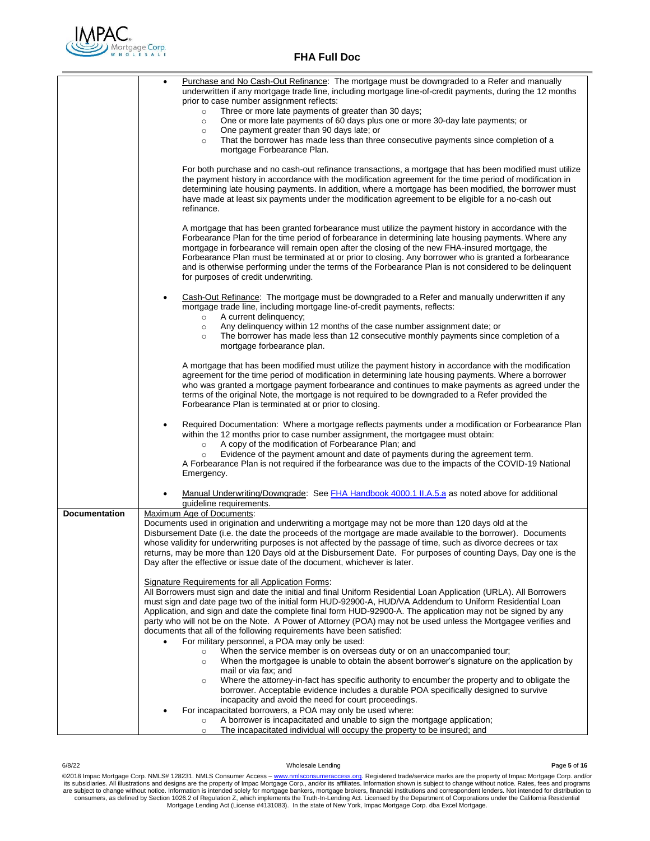

| prior to case number assignment reflects:<br>Three or more late payments of greater than 30 days;<br>$\circ$<br>One or more late payments of 60 days plus one or more 30-day late payments; or<br>$\circ$<br>One payment greater than 90 days late; or<br>$\circ$<br>That the borrower has made less than three consecutive payments since completion of a<br>$\circ$<br>mortgage Forbearance Plan.<br>For both purchase and no cash-out refinance transactions, a mortgage that has been modified must utilize<br>the payment history in accordance with the modification agreement for the time period of modification in<br>determining late housing payments. In addition, where a mortgage has been modified, the borrower must<br>have made at least six payments under the modification agreement to be eligible for a no-cash out<br>refinance.<br>A mortgage that has been granted forbearance must utilize the payment history in accordance with the<br>Forbearance Plan for the time period of forbearance in determining late housing payments. Where any<br>mortgage in forbearance will remain open after the closing of the new FHA-insured mortgage, the<br>Forbearance Plan must be terminated at or prior to closing. Any borrower who is granted a forbearance<br>and is otherwise performing under the terms of the Forbearance Plan is not considered to be delinquent<br>for purposes of credit underwriting.<br>Cash-Out Refinance: The mortgage must be downgraded to a Refer and manually underwritten if any<br>mortgage trade line, including mortgage line-of-credit payments, reflects:<br>A current delinquency;<br>$\circ$<br>Any delinguency within 12 months of the case number assignment date; or<br>$\circ$<br>The borrower has made less than 12 consecutive monthly payments since completion of a<br>$\circ$<br>mortgage forbearance plan.<br>A mortgage that has been modified must utilize the payment history in accordance with the modification<br>agreement for the time period of modification in determining late housing payments. Where a borrower<br>who was granted a mortgage payment forbearance and continues to make payments as agreed under the<br>terms of the original Note, the mortgage is not required to be downgraded to a Refer provided the<br>Forbearance Plan is terminated at or prior to closing.<br>Required Documentation: Where a mortgage reflects payments under a modification or Forbearance Plan<br>within the 12 months prior to case number assignment, the mortgagee must obtain:<br>A copy of the modification of Forbearance Plan; and<br>$\circ$<br>Evidence of the payment amount and date of payments during the agreement term.<br>$\circ$<br>A Forbearance Plan is not required if the forbearance was due to the impacts of the COVID-19 National<br>Emergency.<br>Manual Underwriting/Downgrade: See FHA Handbook 4000.1 II.A.5.a as noted above for additional<br>guideline requirements.<br>Maximum Age of Documents:<br><b>Documentation</b><br>Documents used in origination and underwriting a mortgage may not be more than 120 days old at the<br>Disbursement Date (i.e. the date the proceeds of the mortgage are made available to the borrower). Documents<br>whose validity for underwriting purposes is not affected by the passage of time, such as divorce decrees or tax<br>returns, may be more than 120 Days old at the Disbursement Date. For purposes of counting Days, Day one is the<br>Day after the effective or issue date of the document, whichever is later.<br>Signature Requirements for all Application Forms:<br>All Borrowers must sign and date the initial and final Uniform Residential Loan Application (URLA). All Borrowers<br>must sign and date page two of the initial form HUD-92900-A, HUD/VA Addendum to Uniform Residential Loan<br>Application, and sign and date the complete final form HUD-92900-A. The application may not be signed by any<br>party who will not be on the Note. A Power of Attorney (POA) may not be used unless the Mortgagee verifies and<br>documents that all of the following requirements have been satisfied:<br>For military personnel, a POA may only be used:<br>When the service member is on overseas duty or on an unaccompanied tour;<br>$\circ$<br>When the mortgagee is unable to obtain the absent borrower's signature on the application by<br>$\circ$<br>mail or via fax; and<br>Where the attorney-in-fact has specific authority to encumber the property and to obligate the<br>$\circ$<br>borrower. Acceptable evidence includes a durable POA specifically designed to survive<br>incapacity and avoid the need for court proceedings.<br>For incapacitated borrowers, a POA may only be used where:<br>A borrower is incapacitated and unable to sign the mortgage application;<br>$\circ$ | Purchase and No Cash-Out Refinance: The mortgage must be downgraded to a Refer and manually               |
|--------------------------------------------------------------------------------------------------------------------------------------------------------------------------------------------------------------------------------------------------------------------------------------------------------------------------------------------------------------------------------------------------------------------------------------------------------------------------------------------------------------------------------------------------------------------------------------------------------------------------------------------------------------------------------------------------------------------------------------------------------------------------------------------------------------------------------------------------------------------------------------------------------------------------------------------------------------------------------------------------------------------------------------------------------------------------------------------------------------------------------------------------------------------------------------------------------------------------------------------------------------------------------------------------------------------------------------------------------------------------------------------------------------------------------------------------------------------------------------------------------------------------------------------------------------------------------------------------------------------------------------------------------------------------------------------------------------------------------------------------------------------------------------------------------------------------------------------------------------------------------------------------------------------------------------------------------------------------------------------------------------------------------------------------------------------------------------------------------------------------------------------------------------------------------------------------------------------------------------------------------------------------------------------------------------------------------------------------------------------------------------------------------------------------------------------------------------------------------------------------------------------------------------------------------------------------------------------------------------------------------------------------------------------------------------------------------------------------------------------------------------------------------------------------------------------------------------------------------------------------------------------------------------------------------------------------------------------------------------------------------------------------------------------------------------------------------------------------------------------------------------------------------------------------------------------------------------------------------------------------------------------------------------------------------------------------------------------------------------------------------------------------------------------------------------------------------------------------------------------------------------------------------------------------------------------------------------------------------------------------------------------------------------------------------------------------------------------------------------------------------------------------------------------------------------------------------------------------------------------------------------------------------------------------------------------------------------------------------------------------------------------------------------------------------------------------------------------------------------------------------------------------------------------------------------------------------------------------------------------------------------------------------------------------------------------------------------------------------------------------------------------------------------------------------------------------------------------------------------------------------------------------------------------------------------------------------------------------------------------------------------------------------------------------------------------------------------------------------------------------------------------------------------------------------------------------------------------------------------------------------------|-----------------------------------------------------------------------------------------------------------|
|                                                                                                                                                                                                                                                                                                                                                                                                                                                                                                                                                                                                                                                                                                                                                                                                                                                                                                                                                                                                                                                                                                                                                                                                                                                                                                                                                                                                                                                                                                                                                                                                                                                                                                                                                                                                                                                                                                                                                                                                                                                                                                                                                                                                                                                                                                                                                                                                                                                                                                                                                                                                                                                                                                                                                                                                                                                                                                                                                                                                                                                                                                                                                                                                                                                                                                                                                                                                                                                                                                                                                                                                                                                                                                                                                                                                                                                                                                                                                                                                                                                                                                                                                                                                                                                                                                                                                                                                                                                                                                                                                                                                                                                                                                                                                                                                                                                                                      | underwritten if any mortgage trade line, including mortgage line-of-credit payments, during the 12 months |
|                                                                                                                                                                                                                                                                                                                                                                                                                                                                                                                                                                                                                                                                                                                                                                                                                                                                                                                                                                                                                                                                                                                                                                                                                                                                                                                                                                                                                                                                                                                                                                                                                                                                                                                                                                                                                                                                                                                                                                                                                                                                                                                                                                                                                                                                                                                                                                                                                                                                                                                                                                                                                                                                                                                                                                                                                                                                                                                                                                                                                                                                                                                                                                                                                                                                                                                                                                                                                                                                                                                                                                                                                                                                                                                                                                                                                                                                                                                                                                                                                                                                                                                                                                                                                                                                                                                                                                                                                                                                                                                                                                                                                                                                                                                                                                                                                                                                                      |                                                                                                           |
|                                                                                                                                                                                                                                                                                                                                                                                                                                                                                                                                                                                                                                                                                                                                                                                                                                                                                                                                                                                                                                                                                                                                                                                                                                                                                                                                                                                                                                                                                                                                                                                                                                                                                                                                                                                                                                                                                                                                                                                                                                                                                                                                                                                                                                                                                                                                                                                                                                                                                                                                                                                                                                                                                                                                                                                                                                                                                                                                                                                                                                                                                                                                                                                                                                                                                                                                                                                                                                                                                                                                                                                                                                                                                                                                                                                                                                                                                                                                                                                                                                                                                                                                                                                                                                                                                                                                                                                                                                                                                                                                                                                                                                                                                                                                                                                                                                                                                      |                                                                                                           |
|                                                                                                                                                                                                                                                                                                                                                                                                                                                                                                                                                                                                                                                                                                                                                                                                                                                                                                                                                                                                                                                                                                                                                                                                                                                                                                                                                                                                                                                                                                                                                                                                                                                                                                                                                                                                                                                                                                                                                                                                                                                                                                                                                                                                                                                                                                                                                                                                                                                                                                                                                                                                                                                                                                                                                                                                                                                                                                                                                                                                                                                                                                                                                                                                                                                                                                                                                                                                                                                                                                                                                                                                                                                                                                                                                                                                                                                                                                                                                                                                                                                                                                                                                                                                                                                                                                                                                                                                                                                                                                                                                                                                                                                                                                                                                                                                                                                                                      |                                                                                                           |
|                                                                                                                                                                                                                                                                                                                                                                                                                                                                                                                                                                                                                                                                                                                                                                                                                                                                                                                                                                                                                                                                                                                                                                                                                                                                                                                                                                                                                                                                                                                                                                                                                                                                                                                                                                                                                                                                                                                                                                                                                                                                                                                                                                                                                                                                                                                                                                                                                                                                                                                                                                                                                                                                                                                                                                                                                                                                                                                                                                                                                                                                                                                                                                                                                                                                                                                                                                                                                                                                                                                                                                                                                                                                                                                                                                                                                                                                                                                                                                                                                                                                                                                                                                                                                                                                                                                                                                                                                                                                                                                                                                                                                                                                                                                                                                                                                                                                                      |                                                                                                           |
|                                                                                                                                                                                                                                                                                                                                                                                                                                                                                                                                                                                                                                                                                                                                                                                                                                                                                                                                                                                                                                                                                                                                                                                                                                                                                                                                                                                                                                                                                                                                                                                                                                                                                                                                                                                                                                                                                                                                                                                                                                                                                                                                                                                                                                                                                                                                                                                                                                                                                                                                                                                                                                                                                                                                                                                                                                                                                                                                                                                                                                                                                                                                                                                                                                                                                                                                                                                                                                                                                                                                                                                                                                                                                                                                                                                                                                                                                                                                                                                                                                                                                                                                                                                                                                                                                                                                                                                                                                                                                                                                                                                                                                                                                                                                                                                                                                                                                      |                                                                                                           |
|                                                                                                                                                                                                                                                                                                                                                                                                                                                                                                                                                                                                                                                                                                                                                                                                                                                                                                                                                                                                                                                                                                                                                                                                                                                                                                                                                                                                                                                                                                                                                                                                                                                                                                                                                                                                                                                                                                                                                                                                                                                                                                                                                                                                                                                                                                                                                                                                                                                                                                                                                                                                                                                                                                                                                                                                                                                                                                                                                                                                                                                                                                                                                                                                                                                                                                                                                                                                                                                                                                                                                                                                                                                                                                                                                                                                                                                                                                                                                                                                                                                                                                                                                                                                                                                                                                                                                                                                                                                                                                                                                                                                                                                                                                                                                                                                                                                                                      |                                                                                                           |
|                                                                                                                                                                                                                                                                                                                                                                                                                                                                                                                                                                                                                                                                                                                                                                                                                                                                                                                                                                                                                                                                                                                                                                                                                                                                                                                                                                                                                                                                                                                                                                                                                                                                                                                                                                                                                                                                                                                                                                                                                                                                                                                                                                                                                                                                                                                                                                                                                                                                                                                                                                                                                                                                                                                                                                                                                                                                                                                                                                                                                                                                                                                                                                                                                                                                                                                                                                                                                                                                                                                                                                                                                                                                                                                                                                                                                                                                                                                                                                                                                                                                                                                                                                                                                                                                                                                                                                                                                                                                                                                                                                                                                                                                                                                                                                                                                                                                                      |                                                                                                           |
|                                                                                                                                                                                                                                                                                                                                                                                                                                                                                                                                                                                                                                                                                                                                                                                                                                                                                                                                                                                                                                                                                                                                                                                                                                                                                                                                                                                                                                                                                                                                                                                                                                                                                                                                                                                                                                                                                                                                                                                                                                                                                                                                                                                                                                                                                                                                                                                                                                                                                                                                                                                                                                                                                                                                                                                                                                                                                                                                                                                                                                                                                                                                                                                                                                                                                                                                                                                                                                                                                                                                                                                                                                                                                                                                                                                                                                                                                                                                                                                                                                                                                                                                                                                                                                                                                                                                                                                                                                                                                                                                                                                                                                                                                                                                                                                                                                                                                      |                                                                                                           |
|                                                                                                                                                                                                                                                                                                                                                                                                                                                                                                                                                                                                                                                                                                                                                                                                                                                                                                                                                                                                                                                                                                                                                                                                                                                                                                                                                                                                                                                                                                                                                                                                                                                                                                                                                                                                                                                                                                                                                                                                                                                                                                                                                                                                                                                                                                                                                                                                                                                                                                                                                                                                                                                                                                                                                                                                                                                                                                                                                                                                                                                                                                                                                                                                                                                                                                                                                                                                                                                                                                                                                                                                                                                                                                                                                                                                                                                                                                                                                                                                                                                                                                                                                                                                                                                                                                                                                                                                                                                                                                                                                                                                                                                                                                                                                                                                                                                                                      |                                                                                                           |
|                                                                                                                                                                                                                                                                                                                                                                                                                                                                                                                                                                                                                                                                                                                                                                                                                                                                                                                                                                                                                                                                                                                                                                                                                                                                                                                                                                                                                                                                                                                                                                                                                                                                                                                                                                                                                                                                                                                                                                                                                                                                                                                                                                                                                                                                                                                                                                                                                                                                                                                                                                                                                                                                                                                                                                                                                                                                                                                                                                                                                                                                                                                                                                                                                                                                                                                                                                                                                                                                                                                                                                                                                                                                                                                                                                                                                                                                                                                                                                                                                                                                                                                                                                                                                                                                                                                                                                                                                                                                                                                                                                                                                                                                                                                                                                                                                                                                                      |                                                                                                           |
|                                                                                                                                                                                                                                                                                                                                                                                                                                                                                                                                                                                                                                                                                                                                                                                                                                                                                                                                                                                                                                                                                                                                                                                                                                                                                                                                                                                                                                                                                                                                                                                                                                                                                                                                                                                                                                                                                                                                                                                                                                                                                                                                                                                                                                                                                                                                                                                                                                                                                                                                                                                                                                                                                                                                                                                                                                                                                                                                                                                                                                                                                                                                                                                                                                                                                                                                                                                                                                                                                                                                                                                                                                                                                                                                                                                                                                                                                                                                                                                                                                                                                                                                                                                                                                                                                                                                                                                                                                                                                                                                                                                                                                                                                                                                                                                                                                                                                      |                                                                                                           |
|                                                                                                                                                                                                                                                                                                                                                                                                                                                                                                                                                                                                                                                                                                                                                                                                                                                                                                                                                                                                                                                                                                                                                                                                                                                                                                                                                                                                                                                                                                                                                                                                                                                                                                                                                                                                                                                                                                                                                                                                                                                                                                                                                                                                                                                                                                                                                                                                                                                                                                                                                                                                                                                                                                                                                                                                                                                                                                                                                                                                                                                                                                                                                                                                                                                                                                                                                                                                                                                                                                                                                                                                                                                                                                                                                                                                                                                                                                                                                                                                                                                                                                                                                                                                                                                                                                                                                                                                                                                                                                                                                                                                                                                                                                                                                                                                                                                                                      |                                                                                                           |
|                                                                                                                                                                                                                                                                                                                                                                                                                                                                                                                                                                                                                                                                                                                                                                                                                                                                                                                                                                                                                                                                                                                                                                                                                                                                                                                                                                                                                                                                                                                                                                                                                                                                                                                                                                                                                                                                                                                                                                                                                                                                                                                                                                                                                                                                                                                                                                                                                                                                                                                                                                                                                                                                                                                                                                                                                                                                                                                                                                                                                                                                                                                                                                                                                                                                                                                                                                                                                                                                                                                                                                                                                                                                                                                                                                                                                                                                                                                                                                                                                                                                                                                                                                                                                                                                                                                                                                                                                                                                                                                                                                                                                                                                                                                                                                                                                                                                                      |                                                                                                           |
|                                                                                                                                                                                                                                                                                                                                                                                                                                                                                                                                                                                                                                                                                                                                                                                                                                                                                                                                                                                                                                                                                                                                                                                                                                                                                                                                                                                                                                                                                                                                                                                                                                                                                                                                                                                                                                                                                                                                                                                                                                                                                                                                                                                                                                                                                                                                                                                                                                                                                                                                                                                                                                                                                                                                                                                                                                                                                                                                                                                                                                                                                                                                                                                                                                                                                                                                                                                                                                                                                                                                                                                                                                                                                                                                                                                                                                                                                                                                                                                                                                                                                                                                                                                                                                                                                                                                                                                                                                                                                                                                                                                                                                                                                                                                                                                                                                                                                      |                                                                                                           |
|                                                                                                                                                                                                                                                                                                                                                                                                                                                                                                                                                                                                                                                                                                                                                                                                                                                                                                                                                                                                                                                                                                                                                                                                                                                                                                                                                                                                                                                                                                                                                                                                                                                                                                                                                                                                                                                                                                                                                                                                                                                                                                                                                                                                                                                                                                                                                                                                                                                                                                                                                                                                                                                                                                                                                                                                                                                                                                                                                                                                                                                                                                                                                                                                                                                                                                                                                                                                                                                                                                                                                                                                                                                                                                                                                                                                                                                                                                                                                                                                                                                                                                                                                                                                                                                                                                                                                                                                                                                                                                                                                                                                                                                                                                                                                                                                                                                                                      |                                                                                                           |
|                                                                                                                                                                                                                                                                                                                                                                                                                                                                                                                                                                                                                                                                                                                                                                                                                                                                                                                                                                                                                                                                                                                                                                                                                                                                                                                                                                                                                                                                                                                                                                                                                                                                                                                                                                                                                                                                                                                                                                                                                                                                                                                                                                                                                                                                                                                                                                                                                                                                                                                                                                                                                                                                                                                                                                                                                                                                                                                                                                                                                                                                                                                                                                                                                                                                                                                                                                                                                                                                                                                                                                                                                                                                                                                                                                                                                                                                                                                                                                                                                                                                                                                                                                                                                                                                                                                                                                                                                                                                                                                                                                                                                                                                                                                                                                                                                                                                                      |                                                                                                           |
|                                                                                                                                                                                                                                                                                                                                                                                                                                                                                                                                                                                                                                                                                                                                                                                                                                                                                                                                                                                                                                                                                                                                                                                                                                                                                                                                                                                                                                                                                                                                                                                                                                                                                                                                                                                                                                                                                                                                                                                                                                                                                                                                                                                                                                                                                                                                                                                                                                                                                                                                                                                                                                                                                                                                                                                                                                                                                                                                                                                                                                                                                                                                                                                                                                                                                                                                                                                                                                                                                                                                                                                                                                                                                                                                                                                                                                                                                                                                                                                                                                                                                                                                                                                                                                                                                                                                                                                                                                                                                                                                                                                                                                                                                                                                                                                                                                                                                      |                                                                                                           |
|                                                                                                                                                                                                                                                                                                                                                                                                                                                                                                                                                                                                                                                                                                                                                                                                                                                                                                                                                                                                                                                                                                                                                                                                                                                                                                                                                                                                                                                                                                                                                                                                                                                                                                                                                                                                                                                                                                                                                                                                                                                                                                                                                                                                                                                                                                                                                                                                                                                                                                                                                                                                                                                                                                                                                                                                                                                                                                                                                                                                                                                                                                                                                                                                                                                                                                                                                                                                                                                                                                                                                                                                                                                                                                                                                                                                                                                                                                                                                                                                                                                                                                                                                                                                                                                                                                                                                                                                                                                                                                                                                                                                                                                                                                                                                                                                                                                                                      |                                                                                                           |
|                                                                                                                                                                                                                                                                                                                                                                                                                                                                                                                                                                                                                                                                                                                                                                                                                                                                                                                                                                                                                                                                                                                                                                                                                                                                                                                                                                                                                                                                                                                                                                                                                                                                                                                                                                                                                                                                                                                                                                                                                                                                                                                                                                                                                                                                                                                                                                                                                                                                                                                                                                                                                                                                                                                                                                                                                                                                                                                                                                                                                                                                                                                                                                                                                                                                                                                                                                                                                                                                                                                                                                                                                                                                                                                                                                                                                                                                                                                                                                                                                                                                                                                                                                                                                                                                                                                                                                                                                                                                                                                                                                                                                                                                                                                                                                                                                                                                                      |                                                                                                           |
|                                                                                                                                                                                                                                                                                                                                                                                                                                                                                                                                                                                                                                                                                                                                                                                                                                                                                                                                                                                                                                                                                                                                                                                                                                                                                                                                                                                                                                                                                                                                                                                                                                                                                                                                                                                                                                                                                                                                                                                                                                                                                                                                                                                                                                                                                                                                                                                                                                                                                                                                                                                                                                                                                                                                                                                                                                                                                                                                                                                                                                                                                                                                                                                                                                                                                                                                                                                                                                                                                                                                                                                                                                                                                                                                                                                                                                                                                                                                                                                                                                                                                                                                                                                                                                                                                                                                                                                                                                                                                                                                                                                                                                                                                                                                                                                                                                                                                      |                                                                                                           |
|                                                                                                                                                                                                                                                                                                                                                                                                                                                                                                                                                                                                                                                                                                                                                                                                                                                                                                                                                                                                                                                                                                                                                                                                                                                                                                                                                                                                                                                                                                                                                                                                                                                                                                                                                                                                                                                                                                                                                                                                                                                                                                                                                                                                                                                                                                                                                                                                                                                                                                                                                                                                                                                                                                                                                                                                                                                                                                                                                                                                                                                                                                                                                                                                                                                                                                                                                                                                                                                                                                                                                                                                                                                                                                                                                                                                                                                                                                                                                                                                                                                                                                                                                                                                                                                                                                                                                                                                                                                                                                                                                                                                                                                                                                                                                                                                                                                                                      |                                                                                                           |
|                                                                                                                                                                                                                                                                                                                                                                                                                                                                                                                                                                                                                                                                                                                                                                                                                                                                                                                                                                                                                                                                                                                                                                                                                                                                                                                                                                                                                                                                                                                                                                                                                                                                                                                                                                                                                                                                                                                                                                                                                                                                                                                                                                                                                                                                                                                                                                                                                                                                                                                                                                                                                                                                                                                                                                                                                                                                                                                                                                                                                                                                                                                                                                                                                                                                                                                                                                                                                                                                                                                                                                                                                                                                                                                                                                                                                                                                                                                                                                                                                                                                                                                                                                                                                                                                                                                                                                                                                                                                                                                                                                                                                                                                                                                                                                                                                                                                                      |                                                                                                           |
|                                                                                                                                                                                                                                                                                                                                                                                                                                                                                                                                                                                                                                                                                                                                                                                                                                                                                                                                                                                                                                                                                                                                                                                                                                                                                                                                                                                                                                                                                                                                                                                                                                                                                                                                                                                                                                                                                                                                                                                                                                                                                                                                                                                                                                                                                                                                                                                                                                                                                                                                                                                                                                                                                                                                                                                                                                                                                                                                                                                                                                                                                                                                                                                                                                                                                                                                                                                                                                                                                                                                                                                                                                                                                                                                                                                                                                                                                                                                                                                                                                                                                                                                                                                                                                                                                                                                                                                                                                                                                                                                                                                                                                                                                                                                                                                                                                                                                      |                                                                                                           |
|                                                                                                                                                                                                                                                                                                                                                                                                                                                                                                                                                                                                                                                                                                                                                                                                                                                                                                                                                                                                                                                                                                                                                                                                                                                                                                                                                                                                                                                                                                                                                                                                                                                                                                                                                                                                                                                                                                                                                                                                                                                                                                                                                                                                                                                                                                                                                                                                                                                                                                                                                                                                                                                                                                                                                                                                                                                                                                                                                                                                                                                                                                                                                                                                                                                                                                                                                                                                                                                                                                                                                                                                                                                                                                                                                                                                                                                                                                                                                                                                                                                                                                                                                                                                                                                                                                                                                                                                                                                                                                                                                                                                                                                                                                                                                                                                                                                                                      |                                                                                                           |
|                                                                                                                                                                                                                                                                                                                                                                                                                                                                                                                                                                                                                                                                                                                                                                                                                                                                                                                                                                                                                                                                                                                                                                                                                                                                                                                                                                                                                                                                                                                                                                                                                                                                                                                                                                                                                                                                                                                                                                                                                                                                                                                                                                                                                                                                                                                                                                                                                                                                                                                                                                                                                                                                                                                                                                                                                                                                                                                                                                                                                                                                                                                                                                                                                                                                                                                                                                                                                                                                                                                                                                                                                                                                                                                                                                                                                                                                                                                                                                                                                                                                                                                                                                                                                                                                                                                                                                                                                                                                                                                                                                                                                                                                                                                                                                                                                                                                                      |                                                                                                           |
|                                                                                                                                                                                                                                                                                                                                                                                                                                                                                                                                                                                                                                                                                                                                                                                                                                                                                                                                                                                                                                                                                                                                                                                                                                                                                                                                                                                                                                                                                                                                                                                                                                                                                                                                                                                                                                                                                                                                                                                                                                                                                                                                                                                                                                                                                                                                                                                                                                                                                                                                                                                                                                                                                                                                                                                                                                                                                                                                                                                                                                                                                                                                                                                                                                                                                                                                                                                                                                                                                                                                                                                                                                                                                                                                                                                                                                                                                                                                                                                                                                                                                                                                                                                                                                                                                                                                                                                                                                                                                                                                                                                                                                                                                                                                                                                                                                                                                      |                                                                                                           |
|                                                                                                                                                                                                                                                                                                                                                                                                                                                                                                                                                                                                                                                                                                                                                                                                                                                                                                                                                                                                                                                                                                                                                                                                                                                                                                                                                                                                                                                                                                                                                                                                                                                                                                                                                                                                                                                                                                                                                                                                                                                                                                                                                                                                                                                                                                                                                                                                                                                                                                                                                                                                                                                                                                                                                                                                                                                                                                                                                                                                                                                                                                                                                                                                                                                                                                                                                                                                                                                                                                                                                                                                                                                                                                                                                                                                                                                                                                                                                                                                                                                                                                                                                                                                                                                                                                                                                                                                                                                                                                                                                                                                                                                                                                                                                                                                                                                                                      |                                                                                                           |
|                                                                                                                                                                                                                                                                                                                                                                                                                                                                                                                                                                                                                                                                                                                                                                                                                                                                                                                                                                                                                                                                                                                                                                                                                                                                                                                                                                                                                                                                                                                                                                                                                                                                                                                                                                                                                                                                                                                                                                                                                                                                                                                                                                                                                                                                                                                                                                                                                                                                                                                                                                                                                                                                                                                                                                                                                                                                                                                                                                                                                                                                                                                                                                                                                                                                                                                                                                                                                                                                                                                                                                                                                                                                                                                                                                                                                                                                                                                                                                                                                                                                                                                                                                                                                                                                                                                                                                                                                                                                                                                                                                                                                                                                                                                                                                                                                                                                                      | The incapacitated individual will occupy the property to be insured; and<br>$\circ$                       |

6/8/22 Wholesale Lending **P**age **5** of **16**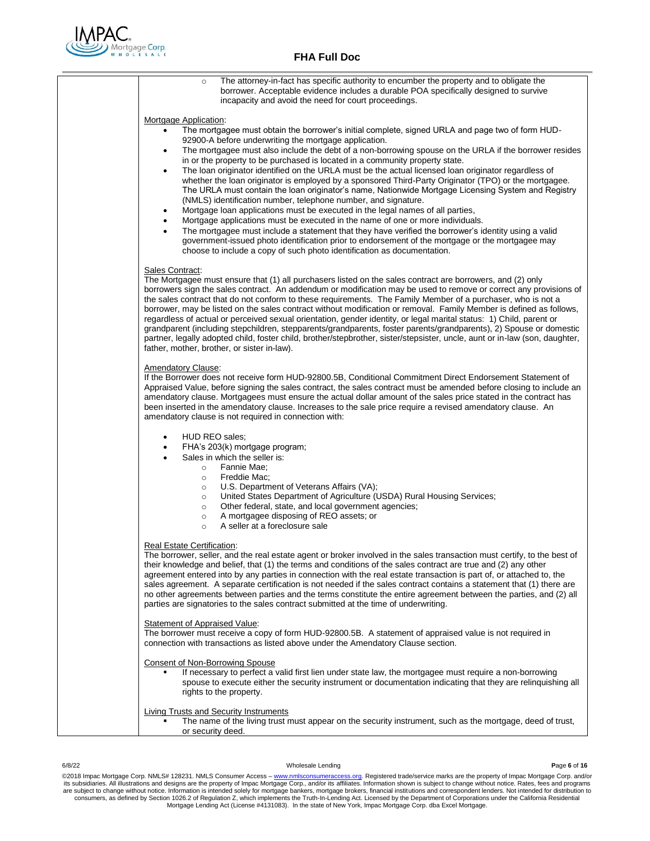

| The attorney-in-fact has specific authority to encumber the property and to obligate the<br>$\circ$<br>borrower. Acceptable evidence includes a durable POA specifically designed to survive<br>incapacity and avoid the need for court proceedings.                                                                                                                                                                                                                                                                                                                                                                                                                                                                                                                                                                                                                                                                                                                                                                                                                                                                                                                                                                                                        |
|-------------------------------------------------------------------------------------------------------------------------------------------------------------------------------------------------------------------------------------------------------------------------------------------------------------------------------------------------------------------------------------------------------------------------------------------------------------------------------------------------------------------------------------------------------------------------------------------------------------------------------------------------------------------------------------------------------------------------------------------------------------------------------------------------------------------------------------------------------------------------------------------------------------------------------------------------------------------------------------------------------------------------------------------------------------------------------------------------------------------------------------------------------------------------------------------------------------------------------------------------------------|
| Mortgage Application:<br>The mortgagee must obtain the borrower's initial complete, signed URLA and page two of form HUD-<br>$\bullet$<br>92900-A before underwriting the mortgage application.<br>The mortgagee must also include the debt of a non-borrowing spouse on the URLA if the borrower resides<br>$\bullet$<br>in or the property to be purchased is located in a community property state.<br>The loan originator identified on the URLA must be the actual licensed loan originator regardless of<br>whether the loan originator is employed by a sponsored Third-Party Originator (TPO) or the mortgagee.<br>The URLA must contain the loan originator's name, Nationwide Mortgage Licensing System and Registry<br>(NMLS) identification number, telephone number, and signature.<br>Mortgage loan applications must be executed in the legal names of all parties,<br>Mortgage applications must be executed in the name of one or more individuals.<br>The mortgagee must include a statement that they have verified the borrower's identity using a valid<br>government-issued photo identification prior to endorsement of the mortgage or the mortgagee may<br>choose to include a copy of such photo identification as documentation. |
| Sales Contract:<br>The Mortgagee must ensure that (1) all purchasers listed on the sales contract are borrowers, and (2) only<br>borrowers sign the sales contract. An addendum or modification may be used to remove or correct any provisions of<br>the sales contract that do not conform to these requirements. The Family Member of a purchaser, who is not a<br>borrower, may be listed on the sales contract without modification or removal. Family Member is defined as follows,<br>regardless of actual or perceived sexual orientation, gender identity, or legal marital status: 1) Child, parent or<br>grandparent (including stepchildren, stepparents/grandparents, foster parents/grandparents), 2) Spouse or domestic<br>partner, legally adopted child, foster child, brother/stepbrother, sister/stepsister, uncle, aunt or in-law (son, daughter,<br>father, mother, brother, or sister in-law).                                                                                                                                                                                                                                                                                                                                        |
| Amendatory Clause:<br>If the Borrower does not receive form HUD-92800.5B, Conditional Commitment Direct Endorsement Statement of<br>Appraised Value, before signing the sales contract, the sales contract must be amended before closing to include an<br>amendatory clause. Mortgagees must ensure the actual dollar amount of the sales price stated in the contract has<br>been inserted in the amendatory clause. Increases to the sale price require a revised amendatory clause. An<br>amendatory clause is not required in connection with:                                                                                                                                                                                                                                                                                                                                                                                                                                                                                                                                                                                                                                                                                                         |
| HUD REO sales;<br>$\bullet$<br>FHA's 203(k) mortgage program;<br>Sales in which the seller is:<br>Fannie Mae;<br>$\circ$<br>Freddie Mac;<br>$\circ$<br>U.S. Department of Veterans Affairs (VA);<br>$\circ$<br>United States Department of Agriculture (USDA) Rural Housing Services;<br>$\circ$<br>Other federal, state, and local government agencies;<br>$\circ$<br>A mortgagee disposing of REO assets; or<br>$\circ$<br>A seller at a foreclosure sale<br>$\circ$                                                                                                                                                                                                                                                                                                                                                                                                                                                                                                                                                                                                                                                                                                                                                                                      |
| Real Estate Certification:<br>The borrower, seller, and the real estate agent or broker involved in the sales transaction must certify, to the best of<br>their knowledge and belief, that (1) the terms and conditions of the sales contract are true and (2) any other<br>agreement entered into by any parties in connection with the real estate transaction is part of, or attached to, the<br>sales agreement. A separate certification is not needed if the sales contract contains a statement that (1) there are<br>no other agreements between parties and the terms constitute the entire agreement between the parties, and (2) all<br>parties are signatories to the sales contract submitted at the time of underwriting.                                                                                                                                                                                                                                                                                                                                                                                                                                                                                                                     |
| <b>Statement of Appraised Value:</b><br>The borrower must receive a copy of form HUD-92800.5B. A statement of appraised value is not required in<br>connection with transactions as listed above under the Amendatory Clause section.                                                                                                                                                                                                                                                                                                                                                                                                                                                                                                                                                                                                                                                                                                                                                                                                                                                                                                                                                                                                                       |
| <b>Consent of Non-Borrowing Spouse</b><br>If necessary to perfect a valid first lien under state law, the mortgagee must require a non-borrowing<br>spouse to execute either the security instrument or documentation indicating that they are relinguishing all<br>rights to the property.                                                                                                                                                                                                                                                                                                                                                                                                                                                                                                                                                                                                                                                                                                                                                                                                                                                                                                                                                                 |
| Living Trusts and Security Instruments<br>The name of the living trust must appear on the security instrument, such as the mortgage, deed of trust,<br>or security deed.                                                                                                                                                                                                                                                                                                                                                                                                                                                                                                                                                                                                                                                                                                                                                                                                                                                                                                                                                                                                                                                                                    |

#### 6/8/22 Wholesale Lending **P**age **6** of **16**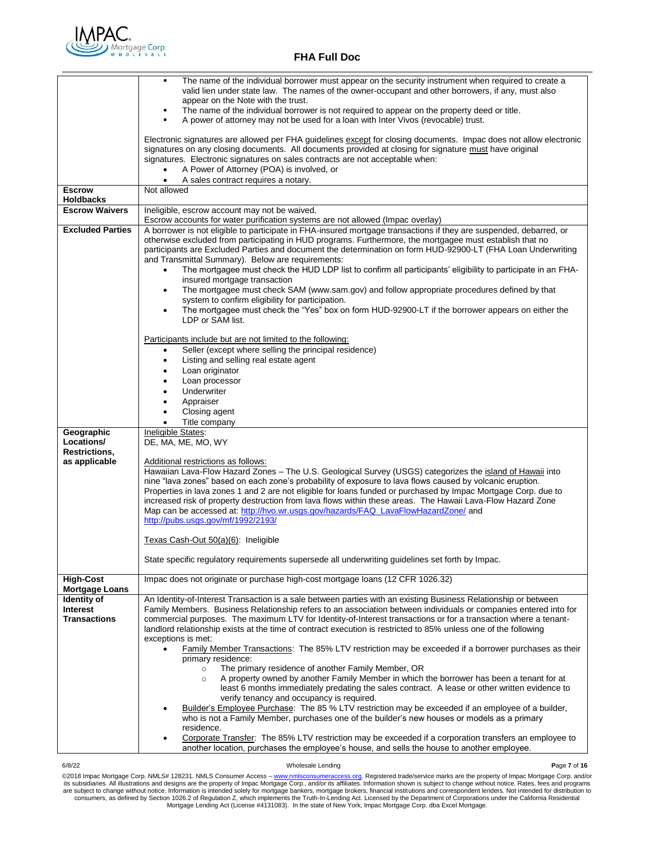

|                                           | The name of the individual borrower must appear on the security instrument when required to create a<br>٠<br>valid lien under state law. The names of the owner-occupant and other borrowers, if any, must also<br>appear on the Note with the trust.                                                                                                                                                                                                                                                                                                                                                                                                                                                                     |
|-------------------------------------------|---------------------------------------------------------------------------------------------------------------------------------------------------------------------------------------------------------------------------------------------------------------------------------------------------------------------------------------------------------------------------------------------------------------------------------------------------------------------------------------------------------------------------------------------------------------------------------------------------------------------------------------------------------------------------------------------------------------------------|
|                                           | The name of the individual borrower is not required to appear on the property deed or title.<br>A power of attorney may not be used for a loan with Inter Vivos (revocable) trust.                                                                                                                                                                                                                                                                                                                                                                                                                                                                                                                                        |
|                                           | Electronic signatures are allowed per FHA guidelines except for closing documents. Impac does not allow electronic<br>signatures on any closing documents. All documents provided at closing for signature must have original<br>signatures. Electronic signatures on sales contracts are not acceptable when:                                                                                                                                                                                                                                                                                                                                                                                                            |
|                                           | A Power of Attorney (POA) is involved, or<br>A sales contract requires a notary.<br>$\bullet$                                                                                                                                                                                                                                                                                                                                                                                                                                                                                                                                                                                                                             |
| <b>Escrow</b>                             | Not allowed                                                                                                                                                                                                                                                                                                                                                                                                                                                                                                                                                                                                                                                                                                               |
| <b>Holdbacks</b><br><b>Escrow Waivers</b> |                                                                                                                                                                                                                                                                                                                                                                                                                                                                                                                                                                                                                                                                                                                           |
|                                           | Ineligible, escrow account may not be waived.<br>Escrow accounts for water purification systems are not allowed (Impac overlay)                                                                                                                                                                                                                                                                                                                                                                                                                                                                                                                                                                                           |
| <b>Excluded Parties</b>                   | A borrower is not eligible to participate in FHA-insured mortgage transactions if they are suspended, debarred, or<br>otherwise excluded from participating in HUD programs. Furthermore, the mortgagee must establish that no<br>participants are Excluded Parties and document the determination on form HUD-92900-LT (FHA Loan Underwriting<br>and Transmittal Summary). Below are requirements:<br>The mortgagee must check the HUD LDP list to confirm all participants' eligibility to participate in an FHA-<br>٠<br>insured mortgage transaction<br>The mortgagee must check SAM (www.sam.gov) and follow appropriate procedures defined by that<br>$\bullet$<br>system to confirm eligibility for participation. |
|                                           | The mortgagee must check the "Yes" box on form HUD-92900-LT if the borrower appears on either the<br>٠<br>LDP or SAM list.                                                                                                                                                                                                                                                                                                                                                                                                                                                                                                                                                                                                |
|                                           | Participants include but are not limited to the following:<br>Seller (except where selling the principal residence)<br>٠                                                                                                                                                                                                                                                                                                                                                                                                                                                                                                                                                                                                  |
|                                           | Listing and selling real estate agent<br>$\bullet$                                                                                                                                                                                                                                                                                                                                                                                                                                                                                                                                                                                                                                                                        |
|                                           | Loan originator<br>٠<br>Loan processor<br>٠                                                                                                                                                                                                                                                                                                                                                                                                                                                                                                                                                                                                                                                                               |
|                                           | Underwriter<br>$\bullet$                                                                                                                                                                                                                                                                                                                                                                                                                                                                                                                                                                                                                                                                                                  |
|                                           | Appraiser<br>$\bullet$<br>Closing agent<br>$\bullet$                                                                                                                                                                                                                                                                                                                                                                                                                                                                                                                                                                                                                                                                      |
|                                           | Title company<br>$\bullet$                                                                                                                                                                                                                                                                                                                                                                                                                                                                                                                                                                                                                                                                                                |
| Geographic<br>Locations/                  | Ineligible States:                                                                                                                                                                                                                                                                                                                                                                                                                                                                                                                                                                                                                                                                                                        |
| Restrictions,                             | DE, MA, ME, MO, WY                                                                                                                                                                                                                                                                                                                                                                                                                                                                                                                                                                                                                                                                                                        |
| as applicable                             | Additional restrictions as follows:<br>Hawaiian Lava-Flow Hazard Zones - The U.S. Geological Survey (USGS) categorizes the island of Hawaii into                                                                                                                                                                                                                                                                                                                                                                                                                                                                                                                                                                          |
|                                           | nine "lava zones" based on each zone's probability of exposure to lava flows caused by volcanic eruption.<br>Properties in lava zones 1 and 2 are not eligible for loans funded or purchased by Impac Mortgage Corp. due to<br>increased risk of property destruction from lava flows within these areas. The Hawaii Lava-Flow Hazard Zone                                                                                                                                                                                                                                                                                                                                                                                |
|                                           | Map can be accessed at: http://hvo.wr.usgs.gov/hazards/FAQ_LavaFlowHazardZone/ and<br>http://pubs.usgs.gov/mf/1992/2193/                                                                                                                                                                                                                                                                                                                                                                                                                                                                                                                                                                                                  |
|                                           | Texas Cash-Out 50(a)(6): Ineligible                                                                                                                                                                                                                                                                                                                                                                                                                                                                                                                                                                                                                                                                                       |
|                                           | State specific regulatory requirements supersede all underwriting guidelines set forth by Impac.                                                                                                                                                                                                                                                                                                                                                                                                                                                                                                                                                                                                                          |
| <b>High-Cost</b><br><b>Mortgage Loans</b> | Impac does not originate or purchase high-cost mortgage loans (12 CFR 1026.32)                                                                                                                                                                                                                                                                                                                                                                                                                                                                                                                                                                                                                                            |
| Identity of                               | An Identity-of-Interest Transaction is a sale between parties with an existing Business Relationship or between                                                                                                                                                                                                                                                                                                                                                                                                                                                                                                                                                                                                           |
| <b>Interest</b><br><b>Transactions</b>    | Family Members. Business Relationship refers to an association between individuals or companies entered into for<br>commercial purposes. The maximum LTV for Identity-of-Interest transactions or for a transaction where a tenant-<br>landlord relationship exists at the time of contract execution is restricted to 85% unless one of the following<br>exceptions is met:                                                                                                                                                                                                                                                                                                                                              |
|                                           | <b>Family Member Transactions:</b> The 85% LTV restriction may be exceeded if a borrower purchases as their<br>primary residence:                                                                                                                                                                                                                                                                                                                                                                                                                                                                                                                                                                                         |
|                                           | The primary residence of another Family Member, OR<br>$\circ$<br>A property owned by another Family Member in which the borrower has been a tenant for at<br>$\circ$<br>least 6 months immediately predating the sales contract. A lease or other written evidence to<br>verify tenancy and occupancy is required.                                                                                                                                                                                                                                                                                                                                                                                                        |
|                                           | Builder's Employee Purchase: The 85 % LTV restriction may be exceeded if an employee of a builder,<br>who is not a Family Member, purchases one of the builder's new houses or models as a primary<br>residence.                                                                                                                                                                                                                                                                                                                                                                                                                                                                                                          |
|                                           | Corporate Transfer: The 85% LTV restriction may be exceeded if a corporation transfers an employee to<br>another location, purchases the employee's house, and sells the house to another employee.                                                                                                                                                                                                                                                                                                                                                                                                                                                                                                                       |

6/8/22 Wholesale Lending **P**age **7** of **16**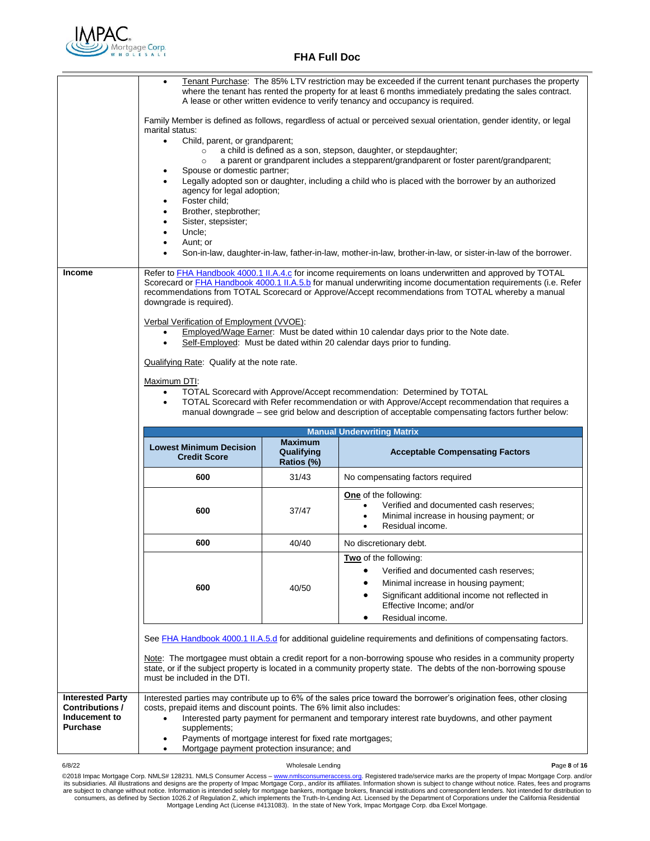

|               | Tenant Purchase: The 85% LTV restriction may be exceeded if the current tenant purchases the property<br>٠<br>where the tenant has rented the property for at least 6 months immediately predating the sales contract.<br>A lease or other written evidence to verify tenancy and occupancy is required.<br>Family Member is defined as follows, regardless of actual or perceived sexual orientation, gender identity, or legal<br>marital status:<br>Child, parent, or grandparent;<br>$\bullet$<br>a child is defined as a son, stepson, daughter, or stepdaughter;<br>$\circ$<br>a parent or grandparent includes a stepparent/grandparent or foster parent/grandparent;<br>$\circ$<br>Spouse or domestic partner;<br>Legally adopted son or daughter, including a child who is placed with the borrower by an authorized<br>agency for legal adoption;<br>Foster child;<br>٠<br>Brother, stepbrother;<br>٠<br>Sister, stepsister;<br>٠<br>Uncle;<br>٠<br>Aunt; or<br>$\bullet$<br>Son-in-law, daughter-in-law, father-in-law, mother-in-law, brother-in-law, or sister-in-law of the borrower. |       |                                                                                                                                                                                                                                                                                                                                                        |  |  |
|---------------|-----------------------------------------------------------------------------------------------------------------------------------------------------------------------------------------------------------------------------------------------------------------------------------------------------------------------------------------------------------------------------------------------------------------------------------------------------------------------------------------------------------------------------------------------------------------------------------------------------------------------------------------------------------------------------------------------------------------------------------------------------------------------------------------------------------------------------------------------------------------------------------------------------------------------------------------------------------------------------------------------------------------------------------------------------------------------------------------------------|-------|--------------------------------------------------------------------------------------------------------------------------------------------------------------------------------------------------------------------------------------------------------------------------------------------------------------------------------------------------------|--|--|
| <b>Income</b> | Refer to <b>FHA Handbook 4000.1 II.A.4.c</b> for income requirements on loans underwritten and approved by TOTAL<br>Scorecard or <b>FHA Handbook 4000.1 II.A.5.b</b> for manual underwriting income documentation requirements (i.e. Refer<br>recommendations from TOTAL Scorecard or Approve/Accept recommendations from TOTAL whereby a manual<br>downgrade is required).<br>Verbal Verification of Employment (VVOE):<br>Employed/Wage Earner: Must be dated within 10 calendar days prior to the Note date.<br>Self-Employed: Must be dated within 20 calendar days prior to funding.<br>$\bullet$<br>Qualifying Rate: Qualify at the note rate.<br>Maximum DTI:<br>TOTAL Scorecard with Approve/Accept recommendation: Determined by TOTAL<br>٠<br>TOTAL Scorecard with Refer recommendation or with Approve/Accept recommendation that requires a<br>$\bullet$<br>manual downgrade – see grid below and description of acceptable compensating factors further below:                                                                                                                         |       |                                                                                                                                                                                                                                                                                                                                                        |  |  |
|               | <b>Manual Underwriting Matrix</b>                                                                                                                                                                                                                                                                                                                                                                                                                                                                                                                                                                                                                                                                                                                                                                                                                                                                                                                                                                                                                                                                   |       |                                                                                                                                                                                                                                                                                                                                                        |  |  |
|               | <b>Maximum</b><br><b>Lowest Minimum Decision</b><br>Qualifying<br><b>Acceptable Compensating Factors</b><br><b>Credit Score</b><br>Ratios (%)                                                                                                                                                                                                                                                                                                                                                                                                                                                                                                                                                                                                                                                                                                                                                                                                                                                                                                                                                       |       |                                                                                                                                                                                                                                                                                                                                                        |  |  |
|               | 600                                                                                                                                                                                                                                                                                                                                                                                                                                                                                                                                                                                                                                                                                                                                                                                                                                                                                                                                                                                                                                                                                                 | 31/43 | No compensating factors required                                                                                                                                                                                                                                                                                                                       |  |  |
|               | 600                                                                                                                                                                                                                                                                                                                                                                                                                                                                                                                                                                                                                                                                                                                                                                                                                                                                                                                                                                                                                                                                                                 | 37/47 | <b>One</b> of the following:<br>Verified and documented cash reserves;<br>Minimal increase in housing payment; or<br>$\bullet$<br>Residual income.                                                                                                                                                                                                     |  |  |
|               | 600                                                                                                                                                                                                                                                                                                                                                                                                                                                                                                                                                                                                                                                                                                                                                                                                                                                                                                                                                                                                                                                                                                 | 40/40 | No discretionary debt.                                                                                                                                                                                                                                                                                                                                 |  |  |
|               | 600                                                                                                                                                                                                                                                                                                                                                                                                                                                                                                                                                                                                                                                                                                                                                                                                                                                                                                                                                                                                                                                                                                 | 40/50 | Two of the following:<br>Verified and documented cash reserves;<br>Minimal increase in housing payment;                                                                                                                                                                                                                                                |  |  |
|               |                                                                                                                                                                                                                                                                                                                                                                                                                                                                                                                                                                                                                                                                                                                                                                                                                                                                                                                                                                                                                                                                                                     |       | Significant additional income not reflected in<br>Effective Income; and/or<br>Residual income.                                                                                                                                                                                                                                                         |  |  |
|               | must be included in the DTI.                                                                                                                                                                                                                                                                                                                                                                                                                                                                                                                                                                                                                                                                                                                                                                                                                                                                                                                                                                                                                                                                        |       | See FHA Handbook 4000.1 II.A.5.d for additional guideline requirements and definitions of compensating factors.<br>Note: The mortgagee must obtain a credit report for a non-borrowing spouse who resides in a community property<br>state, or if the subject property is located in a community property state. The debts of the non-borrowing spouse |  |  |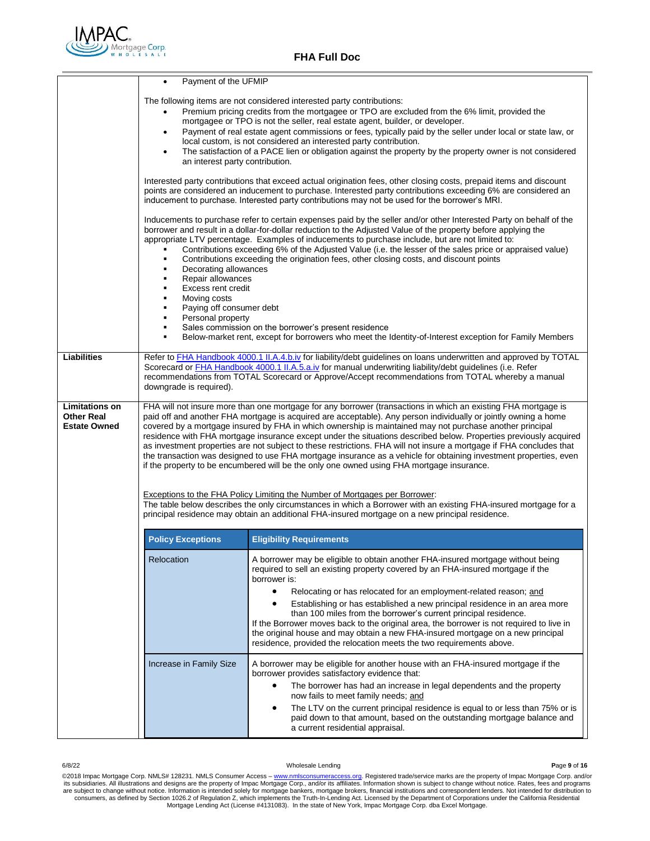

|                                                                   | Payment of the UFMIP                                                                                                                                                                                                                                                                                                                                                                                                                                                                                                                                                                                                                                                                                                                                                                                                                                                                                                                                                                                            |                                                                                                                                                                                                                                                                                                                                                                                                                                                                                                                                                                                                                                                                             |  |  |
|-------------------------------------------------------------------|-----------------------------------------------------------------------------------------------------------------------------------------------------------------------------------------------------------------------------------------------------------------------------------------------------------------------------------------------------------------------------------------------------------------------------------------------------------------------------------------------------------------------------------------------------------------------------------------------------------------------------------------------------------------------------------------------------------------------------------------------------------------------------------------------------------------------------------------------------------------------------------------------------------------------------------------------------------------------------------------------------------------|-----------------------------------------------------------------------------------------------------------------------------------------------------------------------------------------------------------------------------------------------------------------------------------------------------------------------------------------------------------------------------------------------------------------------------------------------------------------------------------------------------------------------------------------------------------------------------------------------------------------------------------------------------------------------------|--|--|
|                                                                   | The following items are not considered interested party contributions:<br>Premium pricing credits from the mortgagee or TPO are excluded from the 6% limit, provided the<br>٠<br>mortgagee or TPO is not the seller, real estate agent, builder, or developer.<br>Payment of real estate agent commissions or fees, typically paid by the seller under local or state law, or<br>٠<br>local custom, is not considered an interested party contribution.<br>The satisfaction of a PACE lien or obligation against the property by the property owner is not considered<br>an interest party contribution.                                                                                                                                                                                                                                                                                                                                                                                                        |                                                                                                                                                                                                                                                                                                                                                                                                                                                                                                                                                                                                                                                                             |  |  |
|                                                                   |                                                                                                                                                                                                                                                                                                                                                                                                                                                                                                                                                                                                                                                                                                                                                                                                                                                                                                                                                                                                                 | Interested party contributions that exceed actual origination fees, other closing costs, prepaid items and discount<br>points are considered an inducement to purchase. Interested party contributions exceeding 6% are considered an<br>inducement to purchase. Interested party contributions may not be used for the borrower's MRI.                                                                                                                                                                                                                                                                                                                                     |  |  |
|                                                                   | ٠<br>Decorating allowances<br>٠<br>Repair allowances<br>٠<br>Excess rent credit<br>$\blacksquare$<br>Moving costs<br>٠<br>Paying off consumer debt<br>٠<br>Personal property<br>٠                                                                                                                                                                                                                                                                                                                                                                                                                                                                                                                                                                                                                                                                                                                                                                                                                               | Inducements to purchase refer to certain expenses paid by the seller and/or other Interested Party on behalf of the<br>borrower and result in a dollar-for-dollar reduction to the Adjusted Value of the property before applying the<br>appropriate LTV percentage. Examples of inducements to purchase include, but are not limited to:<br>Contributions exceeding 6% of the Adjusted Value (i.e. the lesser of the sales price or appraised value)<br>Contributions exceeding the origination fees, other closing costs, and discount points                                                                                                                             |  |  |
|                                                                   | ٠                                                                                                                                                                                                                                                                                                                                                                                                                                                                                                                                                                                                                                                                                                                                                                                                                                                                                                                                                                                                               | Sales commission on the borrower's present residence<br>Below-market rent, except for borrowers who meet the Identity-of-Interest exception for Family Members                                                                                                                                                                                                                                                                                                                                                                                                                                                                                                              |  |  |
| <b>Liabilities</b>                                                | Refer to FHA Handbook 4000.1 II.A.4.b.iv for liability/debt guidelines on loans underwritten and approved by TOTAL<br>Scorecard or <b>FHA Handbook 4000.1 II.A.5.a.iv</b> for manual underwriting liability/debt guidelines (i.e. Refer<br>recommendations from TOTAL Scorecard or Approve/Accept recommendations from TOTAL whereby a manual<br>downgrade is required).                                                                                                                                                                                                                                                                                                                                                                                                                                                                                                                                                                                                                                        |                                                                                                                                                                                                                                                                                                                                                                                                                                                                                                                                                                                                                                                                             |  |  |
| <b>Limitations on</b><br><b>Other Real</b><br><b>Estate Owned</b> | FHA will not insure more than one mortgage for any borrower (transactions in which an existing FHA mortgage is<br>paid off and another FHA mortgage is acquired are acceptable). Any person individually or jointly owning a home<br>covered by a mortgage insured by FHA in which ownership is maintained may not purchase another principal<br>residence with FHA mortgage insurance except under the situations described below. Properties previously acquired<br>as investment properties are not subject to these restrictions. FHA will not insure a mortgage if FHA concludes that<br>the transaction was designed to use FHA mortgage insurance as a vehicle for obtaining investment properties, even<br>if the property to be encumbered will be the only one owned using FHA mortgage insurance.<br>Exceptions to the FHA Policy Limiting the Number of Mortgages per Borrower:<br>The table below describes the only circumstances in which a Borrower with an existing FHA-insured mortgage for a |                                                                                                                                                                                                                                                                                                                                                                                                                                                                                                                                                                                                                                                                             |  |  |
|                                                                   | principal residence may obtain an additional FHA-insured mortgage on a new principal residence.                                                                                                                                                                                                                                                                                                                                                                                                                                                                                                                                                                                                                                                                                                                                                                                                                                                                                                                 |                                                                                                                                                                                                                                                                                                                                                                                                                                                                                                                                                                                                                                                                             |  |  |
|                                                                   | <b>Policy Exceptions</b>                                                                                                                                                                                                                                                                                                                                                                                                                                                                                                                                                                                                                                                                                                                                                                                                                                                                                                                                                                                        | <b>Eligibility Requirements</b>                                                                                                                                                                                                                                                                                                                                                                                                                                                                                                                                                                                                                                             |  |  |
|                                                                   | Relocation                                                                                                                                                                                                                                                                                                                                                                                                                                                                                                                                                                                                                                                                                                                                                                                                                                                                                                                                                                                                      | A borrower may be eligible to obtain another FHA-insured mortgage without being<br>required to sell an existing property covered by an FHA-insured mortgage if the<br>borrower is:<br>$\bullet$<br>Relocating or has relocated for an employment-related reason; and<br>Establishing or has established a new principal residence in an area more<br>than 100 miles from the borrower's current principal residence.<br>If the Borrower moves back to the original area, the borrower is not required to live in<br>the original house and may obtain a new FHA-insured mortgage on a new principal<br>residence, provided the relocation meets the two requirements above. |  |  |
|                                                                   | Increase in Family Size                                                                                                                                                                                                                                                                                                                                                                                                                                                                                                                                                                                                                                                                                                                                                                                                                                                                                                                                                                                         | A borrower may be eligible for another house with an FHA-insured mortgage if the<br>borrower provides satisfactory evidence that:<br>$\bullet$<br>The borrower has had an increase in legal dependents and the property<br>now fails to meet family needs; and<br>The LTV on the current principal residence is equal to or less than 75% or is<br>٠<br>paid down to that amount, based on the outstanding mortgage balance and<br>a current residential appraisal.                                                                                                                                                                                                         |  |  |
|                                                                   |                                                                                                                                                                                                                                                                                                                                                                                                                                                                                                                                                                                                                                                                                                                                                                                                                                                                                                                                                                                                                 |                                                                                                                                                                                                                                                                                                                                                                                                                                                                                                                                                                                                                                                                             |  |  |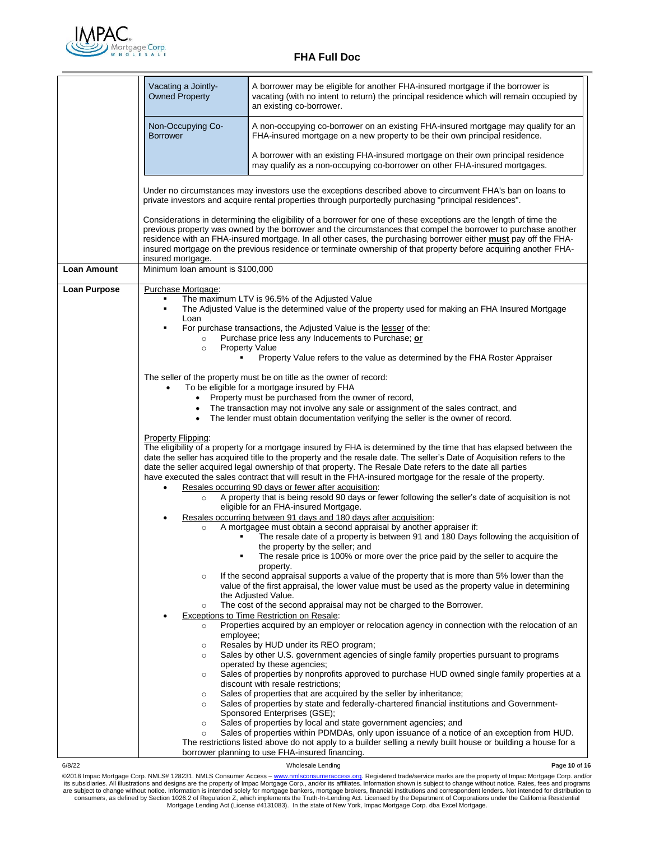

|                     | Vacating a Jointly-<br><b>Owned Property</b>                                                                                                                                                                                                                                                                                                                                                                                                                                                                                                              | A borrower may be eligible for another FHA-insured mortgage if the borrower is<br>vacating (with no intent to return) the principal residence which will remain occupied by<br>an existing co-borrower.                                                                                                                                                                                                                                                                             |  |  |
|---------------------|-----------------------------------------------------------------------------------------------------------------------------------------------------------------------------------------------------------------------------------------------------------------------------------------------------------------------------------------------------------------------------------------------------------------------------------------------------------------------------------------------------------------------------------------------------------|-------------------------------------------------------------------------------------------------------------------------------------------------------------------------------------------------------------------------------------------------------------------------------------------------------------------------------------------------------------------------------------------------------------------------------------------------------------------------------------|--|--|
|                     | Non-Occupying Co-<br><b>Borrower</b>                                                                                                                                                                                                                                                                                                                                                                                                                                                                                                                      | A non-occupying co-borrower on an existing FHA-insured mortgage may qualify for an<br>FHA-insured mortgage on a new property to be their own principal residence.                                                                                                                                                                                                                                                                                                                   |  |  |
|                     |                                                                                                                                                                                                                                                                                                                                                                                                                                                                                                                                                           | A borrower with an existing FHA-insured mortgage on their own principal residence<br>may qualify as a non-occupying co-borrower on other FHA-insured mortgages.                                                                                                                                                                                                                                                                                                                     |  |  |
|                     |                                                                                                                                                                                                                                                                                                                                                                                                                                                                                                                                                           | Under no circumstances may investors use the exceptions described above to circumvent FHA's ban on loans to<br>private investors and acquire rental properties through purportedly purchasing "principal residences".                                                                                                                                                                                                                                                               |  |  |
|                     | insured mortgage.                                                                                                                                                                                                                                                                                                                                                                                                                                                                                                                                         | Considerations in determining the eligibility of a borrower for one of these exceptions are the length of time the<br>previous property was owned by the borrower and the circumstances that compel the borrower to purchase another<br>residence with an FHA-insured mortgage. In all other cases, the purchasing borrower either <b>must</b> pay off the FHA-<br>insured mortgage on the previous residence or terminate ownership of that property before acquiring another FHA- |  |  |
| Loan Amount         |                                                                                                                                                                                                                                                                                                                                                                                                                                                                                                                                                           | Minimum loan amount is \$100,000                                                                                                                                                                                                                                                                                                                                                                                                                                                    |  |  |
| <b>Loan Purpose</b> | Purchase Mortgage:<br>$\blacksquare$<br>Loan                                                                                                                                                                                                                                                                                                                                                                                                                                                                                                              | The maximum LTV is 96.5% of the Adjusted Value<br>The Adjusted Value is the determined value of the property used for making an FHA Insured Mortgage<br>For purchase transactions, the Adjusted Value is the lesser of the:                                                                                                                                                                                                                                                         |  |  |
|                     | $\circ$                                                                                                                                                                                                                                                                                                                                                                                                                                                                                                                                                   | Purchase price less any Inducements to Purchase; or<br><b>Property Value</b>                                                                                                                                                                                                                                                                                                                                                                                                        |  |  |
|                     | $\circ$                                                                                                                                                                                                                                                                                                                                                                                                                                                                                                                                                   | Property Value refers to the value as determined by the FHA Roster Appraiser                                                                                                                                                                                                                                                                                                                                                                                                        |  |  |
|                     |                                                                                                                                                                                                                                                                                                                                                                                                                                                                                                                                                           | The seller of the property must be on title as the owner of record:                                                                                                                                                                                                                                                                                                                                                                                                                 |  |  |
|                     | $\bullet$                                                                                                                                                                                                                                                                                                                                                                                                                                                                                                                                                 | To be eligible for a mortgage insured by FHA<br>Property must be purchased from the owner of record,                                                                                                                                                                                                                                                                                                                                                                                |  |  |
|                     | $\bullet$                                                                                                                                                                                                                                                                                                                                                                                                                                                                                                                                                 | The transaction may not involve any sale or assignment of the sales contract, and                                                                                                                                                                                                                                                                                                                                                                                                   |  |  |
|                     | The lender must obtain documentation verifying the seller is the owner of record.                                                                                                                                                                                                                                                                                                                                                                                                                                                                         |                                                                                                                                                                                                                                                                                                                                                                                                                                                                                     |  |  |
|                     | Property Flipping:<br>The eligibility of a property for a mortgage insured by FHA is determined by the time that has elapsed between the<br>date the seller has acquired title to the property and the resale date. The seller's Date of Acquisition refers to the<br>date the seller acquired legal ownership of that property. The Resale Date refers to the date all parties<br>have executed the sales contract that will result in the FHA-insured mortgage for the resale of the property.<br>Resales occurring 90 days or fewer after acquisition: |                                                                                                                                                                                                                                                                                                                                                                                                                                                                                     |  |  |
|                     | A property that is being resold 90 days or fewer following the seller's date of acquisition is not<br>$\circ$<br>eligible for an FHA-insured Mortgage.                                                                                                                                                                                                                                                                                                                                                                                                    |                                                                                                                                                                                                                                                                                                                                                                                                                                                                                     |  |  |
|                     | Resales occurring between 91 days and 180 days after acquisition:                                                                                                                                                                                                                                                                                                                                                                                                                                                                                         |                                                                                                                                                                                                                                                                                                                                                                                                                                                                                     |  |  |
|                     | $\circ$                                                                                                                                                                                                                                                                                                                                                                                                                                                                                                                                                   | A mortgagee must obtain a second appraisal by another appraiser if:<br>The resale date of a property is between 91 and 180 Days following the acquisition of                                                                                                                                                                                                                                                                                                                        |  |  |
|                     |                                                                                                                                                                                                                                                                                                                                                                                                                                                                                                                                                           | the property by the seller; and<br>The resale price is 100% or more over the price paid by the seller to acquire the                                                                                                                                                                                                                                                                                                                                                                |  |  |
|                     | $\circ$                                                                                                                                                                                                                                                                                                                                                                                                                                                                                                                                                   | property.<br>If the second appraisal supports a value of the property that is more than 5% lower than the                                                                                                                                                                                                                                                                                                                                                                           |  |  |
|                     |                                                                                                                                                                                                                                                                                                                                                                                                                                                                                                                                                           | value of the first appraisal, the lower value must be used as the property value in determining                                                                                                                                                                                                                                                                                                                                                                                     |  |  |
|                     | $\circ$                                                                                                                                                                                                                                                                                                                                                                                                                                                                                                                                                   | the Adjusted Value.<br>The cost of the second appraisal may not be charged to the Borrower.                                                                                                                                                                                                                                                                                                                                                                                         |  |  |
|                     |                                                                                                                                                                                                                                                                                                                                                                                                                                                                                                                                                           | Exceptions to Time Restriction on Resale:<br>Properties acquired by an employer or relocation agency in connection with the relocation of an                                                                                                                                                                                                                                                                                                                                        |  |  |
|                     | $\circ$<br>employee;                                                                                                                                                                                                                                                                                                                                                                                                                                                                                                                                      |                                                                                                                                                                                                                                                                                                                                                                                                                                                                                     |  |  |
|                     | $\circ$<br>$\circ$                                                                                                                                                                                                                                                                                                                                                                                                                                                                                                                                        | Resales by HUD under its REO program;<br>Sales by other U.S. government agencies of single family properties pursuant to programs                                                                                                                                                                                                                                                                                                                                                   |  |  |
|                     | $\circ$                                                                                                                                                                                                                                                                                                                                                                                                                                                                                                                                                   | operated by these agencies;<br>Sales of properties by nonprofits approved to purchase HUD owned single family properties at a                                                                                                                                                                                                                                                                                                                                                       |  |  |
|                     |                                                                                                                                                                                                                                                                                                                                                                                                                                                                                                                                                           | discount with resale restrictions;                                                                                                                                                                                                                                                                                                                                                                                                                                                  |  |  |
|                     | $\circ$<br>$\circ$                                                                                                                                                                                                                                                                                                                                                                                                                                                                                                                                        | Sales of properties that are acquired by the seller by inheritance;<br>Sales of properties by state and federally-chartered financial institutions and Government-                                                                                                                                                                                                                                                                                                                  |  |  |
|                     | $\circ$                                                                                                                                                                                                                                                                                                                                                                                                                                                                                                                                                   | Sponsored Enterprises (GSE);<br>Sales of properties by local and state government agencies; and                                                                                                                                                                                                                                                                                                                                                                                     |  |  |
|                     | $\circ$                                                                                                                                                                                                                                                                                                                                                                                                                                                                                                                                                   | Sales of properties within PDMDAs, only upon issuance of a notice of an exception from HUD.                                                                                                                                                                                                                                                                                                                                                                                         |  |  |
|                     |                                                                                                                                                                                                                                                                                                                                                                                                                                                                                                                                                           | The restrictions listed above do not apply to a builder selling a newly built house or building a house for a<br>borrower planning to use FHA-insured financing.                                                                                                                                                                                                                                                                                                                    |  |  |

6/8/22 Wholesale Lending **P**age **10** of **16**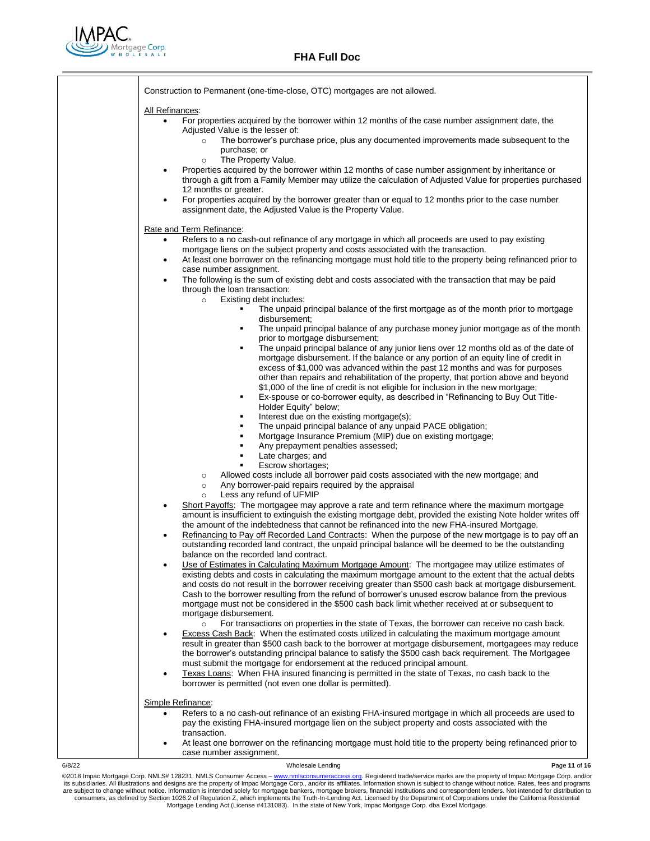

|                   | Construction to Permanent (one-time-close, OTC) mortgages are not allowed.                                                                                                                                   |
|-------------------|--------------------------------------------------------------------------------------------------------------------------------------------------------------------------------------------------------------|
| All Refinances:   |                                                                                                                                                                                                              |
| $\bullet$         | For properties acquired by the borrower within 12 months of the case number assignment date, the                                                                                                             |
|                   | Adjusted Value is the lesser of:                                                                                                                                                                             |
|                   | The borrower's purchase price, plus any documented improvements made subsequent to the<br>$\circ$                                                                                                            |
|                   | purchase; or<br>The Property Value.<br>$\circ$                                                                                                                                                               |
| $\bullet$         | Properties acquired by the borrower within 12 months of case number assignment by inheritance or                                                                                                             |
|                   | through a gift from a Family Member may utilize the calculation of Adjusted Value for properties purchased                                                                                                   |
|                   | 12 months or greater.                                                                                                                                                                                        |
| $\bullet$         | For properties acquired by the borrower greater than or equal to 12 months prior to the case number<br>assignment date, the Adjusted Value is the Property Value.                                            |
|                   | Rate and Term Refinance:                                                                                                                                                                                     |
| $\bullet$         | Refers to a no cash-out refinance of any mortgage in which all proceeds are used to pay existing                                                                                                             |
|                   | mortgage liens on the subject property and costs associated with the transaction.                                                                                                                            |
| $\bullet$         | At least one borrower on the refinancing mortgage must hold title to the property being refinanced prior to                                                                                                  |
| $\bullet$         | case number assignment.<br>The following is the sum of existing debt and costs associated with the transaction that may be paid                                                                              |
|                   | through the loan transaction:                                                                                                                                                                                |
|                   | Existing debt includes:<br>$\circ$                                                                                                                                                                           |
|                   | The unpaid principal balance of the first mortgage as of the month prior to mortgage<br>٠                                                                                                                    |
|                   | disbursement;<br>The unpaid principal balance of any purchase money junior mortgage as of the month<br>٠                                                                                                     |
|                   | prior to mortgage disbursement;                                                                                                                                                                              |
|                   | The unpaid principal balance of any junior liens over 12 months old as of the date of<br>٠                                                                                                                   |
|                   | mortgage disbursement. If the balance or any portion of an equity line of credit in<br>excess of \$1,000 was advanced within the past 12 months and was for purposes                                         |
|                   | other than repairs and rehabilitation of the property, that portion above and beyond                                                                                                                         |
|                   | \$1,000 of the line of credit is not eligible for inclusion in the new mortgage;                                                                                                                             |
|                   | Ex-spouse or co-borrower equity, as described in "Refinancing to Buy Out Title-<br>٠<br>Holder Equity" below;                                                                                                |
|                   | Interest due on the existing mortgage(s);<br>٠                                                                                                                                                               |
|                   | The unpaid principal balance of any unpaid PACE obligation;<br>٠                                                                                                                                             |
|                   | Mortgage Insurance Premium (MIP) due on existing mortgage;<br>٠<br>Any prepayment penalties assessed;<br>٠                                                                                                   |
|                   | Late charges; and<br>٠                                                                                                                                                                                       |
|                   | Escrow shortages;                                                                                                                                                                                            |
|                   | Allowed costs include all borrower paid costs associated with the new mortgage; and<br>$\circ$<br>Any borrower-paid repairs required by the appraisal<br>$\circ$                                             |
|                   | Less any refund of UFMIP<br>$\circ$                                                                                                                                                                          |
| $\bullet$         | Short Payoffs: The mortgagee may approve a rate and term refinance where the maximum mortgage                                                                                                                |
|                   | amount is insufficient to extinguish the existing mortgage debt, provided the existing Note holder writes off<br>the amount of the indebtedness that cannot be refinanced into the new FHA-insured Mortgage. |
| $\bullet$         | Refinancing to Pay off Recorded Land Contracts: When the purpose of the new mortgage is to pay off an                                                                                                        |
|                   | outstanding recorded land contract, the unpaid principal balance will be deemed to be the outstanding                                                                                                        |
|                   | balance on the recorded land contract.                                                                                                                                                                       |
| ٠                 | Use of Estimates in Calculating Maximum Mortgage Amount: The mortgagee may utilize estimates of<br>existing debts and costs in calculating the maximum mortgage amount to the extent that the actual debts   |
|                   | and costs do not result in the borrower receiving greater than \$500 cash back at mortgage disbursement.                                                                                                     |
|                   | Cash to the borrower resulting from the refund of borrower's unused escrow balance from the previous                                                                                                         |
|                   | mortgage must not be considered in the \$500 cash back limit whether received at or subsequent to                                                                                                            |
|                   | mortgage disbursement.<br>For transactions on properties in the state of Texas, the borrower can receive no cash back.<br>$\circ$                                                                            |
| $\bullet$         | Excess Cash Back: When the estimated costs utilized in calculating the maximum mortgage amount                                                                                                               |
|                   | result in greater than \$500 cash back to the borrower at mortgage disbursement, mortgagees may reduce                                                                                                       |
|                   | the borrower's outstanding principal balance to satisfy the \$500 cash back requirement. The Mortgagee                                                                                                       |
| $\bullet$         | must submit the mortgage for endorsement at the reduced principal amount.<br>Texas Loans: When FHA insured financing is permitted in the state of Texas, no cash back to the                                 |
|                   | borrower is permitted (not even one dollar is permitted).                                                                                                                                                    |
| Simple Refinance: |                                                                                                                                                                                                              |
|                   | Refers to a no cash-out refinance of an existing FHA-insured mortgage in which all proceeds are used to                                                                                                      |
|                   | pay the existing FHA-insured mortgage lien on the subject property and costs associated with the                                                                                                             |
|                   | transaction.                                                                                                                                                                                                 |
|                   | At least one borrower on the refinancing mortgage must hold title to the property being refinanced prior to<br>case number assignment.                                                                       |
|                   |                                                                                                                                                                                                              |

6/8/22 Wholesale Lending **P**age **11** of **16** @2018 Impac Mortgage Corp. NMLS# 128231. NMLS Consumer Access – [www.nmlsconsumeraccess.org.](http://www.nmlsconsumeraccess.org/) Registered trade/service marks are the property of Impac Mortgage Corp. and/or its subsidiaries. All illustrations and designs are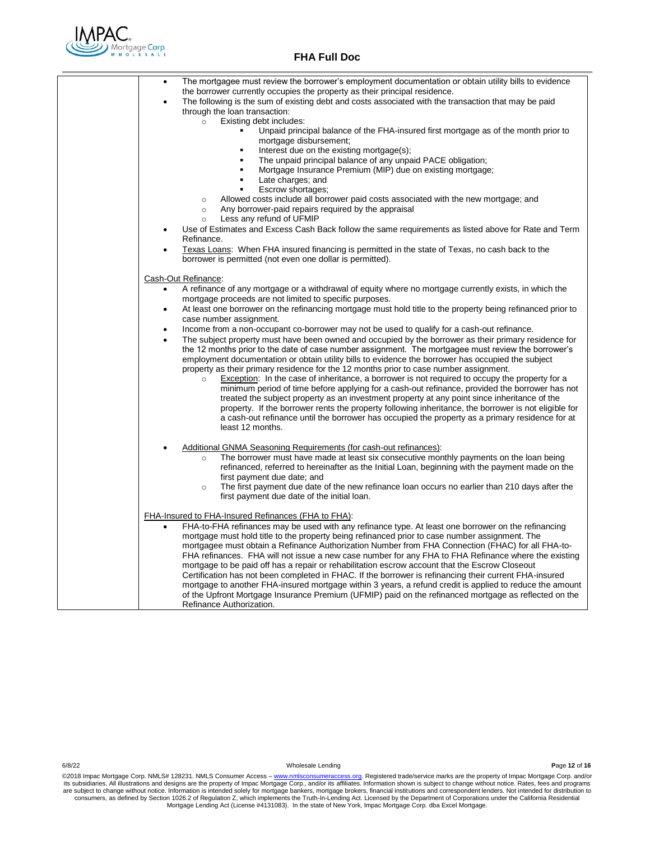

| The mortgagee must review the borrower's employment documentation or obtain utility bills to evidence<br>$\bullet$<br>the borrower currently occupies the property as their principal residence.<br>The following is the sum of existing debt and costs associated with the transaction that may be paid<br>$\bullet$<br>through the loan transaction:<br>Existing debt includes:<br>$\circ$<br>Unpaid principal balance of the FHA-insured first mortgage as of the month prior to                                                                                                                                                                                                                                                                                                                                                                                                                                                                                                                                                                                                                                                                                                                                                                                                                                                                                                                                                         |
|---------------------------------------------------------------------------------------------------------------------------------------------------------------------------------------------------------------------------------------------------------------------------------------------------------------------------------------------------------------------------------------------------------------------------------------------------------------------------------------------------------------------------------------------------------------------------------------------------------------------------------------------------------------------------------------------------------------------------------------------------------------------------------------------------------------------------------------------------------------------------------------------------------------------------------------------------------------------------------------------------------------------------------------------------------------------------------------------------------------------------------------------------------------------------------------------------------------------------------------------------------------------------------------------------------------------------------------------------------------------------------------------------------------------------------------------|
| mortgage disbursement;<br>Interest due on the existing mortgage(s);<br>$\blacksquare$<br>The unpaid principal balance of any unpaid PACE obligation;<br>$\blacksquare$<br>Mortgage Insurance Premium (MIP) due on existing mortgage;<br>$\blacksquare$<br>Late charges; and<br>$\blacksquare$<br>Escrow shortages:<br>$\blacksquare$<br>Allowed costs include all borrower paid costs associated with the new mortgage; and<br>$\circ$<br>Any borrower-paid repairs required by the appraisal<br>$\circ$<br>Less any refund of UFMIP<br>$\circ$<br>Use of Estimates and Excess Cash Back follow the same requirements as listed above for Rate and Term<br>$\bullet$<br>Refinance.<br>Texas Loans: When FHA insured financing is permitted in the state of Texas, no cash back to the<br>$\bullet$<br>borrower is permitted (not even one dollar is permitted).                                                                                                                                                                                                                                                                                                                                                                                                                                                                                                                                                                             |
| Cash-Out Refinance:<br>A refinance of any mortgage or a withdrawal of equity where no mortgage currently exists, in which the<br>$\bullet$<br>mortgage proceeds are not limited to specific purposes.<br>At least one borrower on the refinancing mortgage must hold title to the property being refinanced prior to<br>٠<br>case number assignment.<br>Income from a non-occupant co-borrower may not be used to qualify for a cash-out refinance.<br>$\bullet$<br>The subject property must have been owned and occupied by the borrower as their primary residence for<br>$\bullet$<br>the 12 months prior to the date of case number assignment. The mortgagee must review the borrower's<br>employment documentation or obtain utility bills to evidence the borrower has occupied the subject<br>property as their primary residence for the 12 months prior to case number assignment.<br>Exception: In the case of inheritance, a borrower is not required to occupy the property for a<br>$\circ$<br>minimum period of time before applying for a cash-out refinance, provided the borrower has not<br>treated the subject property as an investment property at any point since inheritance of the<br>property. If the borrower rents the property following inheritance, the borrower is not eligible for<br>a cash-out refinance until the borrower has occupied the property as a primary residence for at<br>least 12 months. |
| Additional GNMA Seasoning Requirements (for cash-out refinances):<br>The borrower must have made at least six consecutive monthly payments on the loan being<br>$\circ$<br>refinanced, referred to hereinafter as the Initial Loan, beginning with the payment made on the<br>first payment due date; and<br>The first payment due date of the new refinance loan occurs no earlier than 210 days after the<br>$\circ$<br>first payment due date of the initial loan.                                                                                                                                                                                                                                                                                                                                                                                                                                                                                                                                                                                                                                                                                                                                                                                                                                                                                                                                                                       |
| FHA-Insured to FHA-Insured Refinances (FHA to FHA):<br>FHA-to-FHA refinances may be used with any refinance type. At least one borrower on the refinancing<br>mortgage must hold title to the property being refinanced prior to case number assignment. The<br>mortgagee must obtain a Refinance Authorization Number from FHA Connection (FHAC) for all FHA-to-<br>FHA refinances. FHA will not issue a new case number for any FHA to FHA Refinance where the existing<br>mortgage to be paid off has a repair or rehabilitation escrow account that the Escrow Closeout<br>Certification has not been completed in FHAC. If the borrower is refinancing their current FHA-insured<br>mortgage to another FHA-insured mortgage within 3 years, a refund credit is applied to reduce the amount<br>of the Upfront Mortgage Insurance Premium (UFMIP) paid on the refinanced mortgage as reflected on the<br>Refinance Authorization.                                                                                                                                                                                                                                                                                                                                                                                                                                                                                                      |

6/8/22 Wholesale Lending **P**age **12** of **16**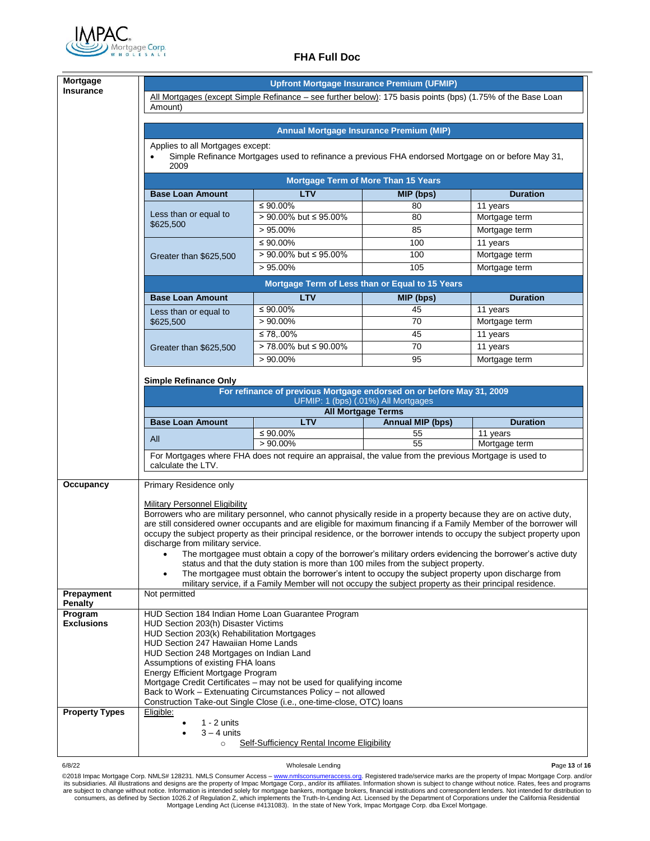

|                              | <b>Upfront Mortgage Insurance Premium (UFMIP)</b>                                                                                            |                                                                                                                                                                                                  |                           |                                                                                                                       |  |  |  |  |
|------------------------------|----------------------------------------------------------------------------------------------------------------------------------------------|--------------------------------------------------------------------------------------------------------------------------------------------------------------------------------------------------|---------------------------|-----------------------------------------------------------------------------------------------------------------------|--|--|--|--|
| <b>Insurance</b>             | All Mortgages (except Simple Refinance – see further below): 175 basis points (bps) (1.75% of the Base Loan                                  |                                                                                                                                                                                                  |                           |                                                                                                                       |  |  |  |  |
|                              | Amount)                                                                                                                                      |                                                                                                                                                                                                  |                           |                                                                                                                       |  |  |  |  |
|                              |                                                                                                                                              |                                                                                                                                                                                                  |                           |                                                                                                                       |  |  |  |  |
|                              | <b>Annual Mortgage Insurance Premium (MIP)</b>                                                                                               |                                                                                                                                                                                                  |                           |                                                                                                                       |  |  |  |  |
|                              | Applies to all Mortgages except:                                                                                                             |                                                                                                                                                                                                  |                           |                                                                                                                       |  |  |  |  |
|                              | 2009                                                                                                                                         | Simple Refinance Mortgages used to refinance a previous FHA endorsed Mortgage on or before May 31,                                                                                               |                           |                                                                                                                       |  |  |  |  |
|                              |                                                                                                                                              | <b>Mortgage Term of More Than 15 Years</b>                                                                                                                                                       |                           |                                                                                                                       |  |  |  |  |
|                              | <b>Base Loan Amount</b>                                                                                                                      | <b>LTV</b>                                                                                                                                                                                       | MIP (bps)                 | <b>Duration</b>                                                                                                       |  |  |  |  |
|                              | Less than or equal to                                                                                                                        | ≤ 90.00%                                                                                                                                                                                         | 80                        | 11 years                                                                                                              |  |  |  |  |
|                              | \$625,500                                                                                                                                    | > 90.00% but ≤ 95.00%                                                                                                                                                                            | 80                        | Mortgage term                                                                                                         |  |  |  |  |
|                              |                                                                                                                                              | $>95.00\%$                                                                                                                                                                                       | 85                        | Mortgage term                                                                                                         |  |  |  |  |
|                              |                                                                                                                                              | ≤ 90.00%                                                                                                                                                                                         | 100                       | 11 years                                                                                                              |  |  |  |  |
|                              | Greater than \$625,500                                                                                                                       | > 90.00% but ≤ 95.00%                                                                                                                                                                            | 100                       | Mortgage term                                                                                                         |  |  |  |  |
|                              |                                                                                                                                              | $>95.00\%$                                                                                                                                                                                       | 105                       | Mortgage term                                                                                                         |  |  |  |  |
|                              | Mortgage Term of Less than or Equal to 15 Years                                                                                              |                                                                                                                                                                                                  |                           |                                                                                                                       |  |  |  |  |
|                              | <b>Base Loan Amount</b>                                                                                                                      | <b>LTV</b>                                                                                                                                                                                       | MIP (bps)                 | <b>Duration</b>                                                                                                       |  |  |  |  |
|                              | Less than or equal to                                                                                                                        | $≤ 90.00\%$                                                                                                                                                                                      | 45                        | 11 years                                                                                                              |  |  |  |  |
|                              | \$625,500                                                                                                                                    | $>90.00\%$                                                                                                                                                                                       | 70                        | Mortgage term                                                                                                         |  |  |  |  |
|                              |                                                                                                                                              | ≤ 78,.00%                                                                                                                                                                                        | 45                        | 11 years                                                                                                              |  |  |  |  |
|                              | Greater than \$625,500                                                                                                                       | > 78.00% but ≤ 90.00%                                                                                                                                                                            | 70                        | 11 years                                                                                                              |  |  |  |  |
|                              |                                                                                                                                              | $>90.00\%$                                                                                                                                                                                       | 95                        | Mortgage term                                                                                                         |  |  |  |  |
|                              | <b>Simple Refinance Only</b>                                                                                                                 |                                                                                                                                                                                                  |                           |                                                                                                                       |  |  |  |  |
|                              |                                                                                                                                              | For refinance of previous Mortgage endorsed on or before May 31, 2009<br>UFMIP: 1 (bps) (.01%) All Mortgages                                                                                     |                           |                                                                                                                       |  |  |  |  |
|                              |                                                                                                                                              |                                                                                                                                                                                                  | <b>All Mortgage Terms</b> |                                                                                                                       |  |  |  |  |
|                              | <b>Base Loan Amount</b>                                                                                                                      | <b>LTV</b>                                                                                                                                                                                       | <b>Annual MIP (bps)</b>   | <b>Duration</b>                                                                                                       |  |  |  |  |
|                              | All                                                                                                                                          | ≤ 90.00%                                                                                                                                                                                         | 55                        | 11 years                                                                                                              |  |  |  |  |
|                              | $> 90.00\%$<br>55<br>Mortgage term<br>For Mortgages where FHA does not require an appraisal, the value from the previous Mortgage is used to |                                                                                                                                                                                                  |                           |                                                                                                                       |  |  |  |  |
|                              | calculate the LTV.                                                                                                                           |                                                                                                                                                                                                  |                           |                                                                                                                       |  |  |  |  |
|                              |                                                                                                                                              |                                                                                                                                                                                                  |                           |                                                                                                                       |  |  |  |  |
| Occupancy                    | Primary Residence only                                                                                                                       |                                                                                                                                                                                                  |                           |                                                                                                                       |  |  |  |  |
|                              |                                                                                                                                              |                                                                                                                                                                                                  |                           |                                                                                                                       |  |  |  |  |
|                              | Military Personnel Eligibility                                                                                                               |                                                                                                                                                                                                  |                           |                                                                                                                       |  |  |  |  |
|                              |                                                                                                                                              | Borrowers who are military personnel, who cannot physically reside in a property because they are on active duty,                                                                                |                           |                                                                                                                       |  |  |  |  |
|                              |                                                                                                                                              | are still considered owner occupants and are eligible for maximum financing if a Family Member of the borrower will                                                                              |                           | occupy the subject property as their principal residence, or the borrower intends to occupy the subject property upon |  |  |  |  |
|                              | discharge from military service.                                                                                                             |                                                                                                                                                                                                  |                           |                                                                                                                       |  |  |  |  |
|                              |                                                                                                                                              | • The mortgagee must obtain a copy of the borrower's military orders evidencing the borrower's active duty<br>status and that the duty station is more than 100 miles from the subject property. |                           |                                                                                                                       |  |  |  |  |
|                              |                                                                                                                                              | The mortgagee must obtain the borrower's intent to occupy the subject property upon discharge from                                                                                               |                           |                                                                                                                       |  |  |  |  |
| <b>Prepayment</b>            | Not permitted                                                                                                                                | military service, if a Family Member will not occupy the subject property as their principal residence.                                                                                          |                           |                                                                                                                       |  |  |  |  |
| Penalty                      |                                                                                                                                              |                                                                                                                                                                                                  |                           |                                                                                                                       |  |  |  |  |
| Program<br><b>Exclusions</b> | HUD Section 184 Indian Home Loan Guarantee Program<br>HUD Section 203(h) Disaster Victims                                                    |                                                                                                                                                                                                  |                           |                                                                                                                       |  |  |  |  |
|                              | HUD Section 203(k) Rehabilitation Mortgages                                                                                                  |                                                                                                                                                                                                  |                           |                                                                                                                       |  |  |  |  |
|                              | HUD Section 247 Hawaiian Home Lands                                                                                                          |                                                                                                                                                                                                  |                           |                                                                                                                       |  |  |  |  |
|                              | HUD Section 248 Mortgages on Indian Land<br>Assumptions of existing FHA loans                                                                |                                                                                                                                                                                                  |                           |                                                                                                                       |  |  |  |  |
|                              | <b>Energy Efficient Mortgage Program</b>                                                                                                     |                                                                                                                                                                                                  |                           |                                                                                                                       |  |  |  |  |
|                              |                                                                                                                                              | Mortgage Credit Certificates - may not be used for qualifying income                                                                                                                             |                           |                                                                                                                       |  |  |  |  |
|                              |                                                                                                                                              | Back to Work - Extenuating Circumstances Policy - not allowed<br>Construction Take-out Single Close (i.e., one-time-close, OTC) loans                                                            |                           |                                                                                                                       |  |  |  |  |
| <b>Property Types</b>        | Eligible:                                                                                                                                    |                                                                                                                                                                                                  |                           |                                                                                                                       |  |  |  |  |
|                              | $1 - 2$ units                                                                                                                                |                                                                                                                                                                                                  |                           |                                                                                                                       |  |  |  |  |
|                              | $3 - 4$ units<br>$\circ$                                                                                                                     | <b>Self-Sufficiency Rental Income Eligibility</b>                                                                                                                                                |                           |                                                                                                                       |  |  |  |  |

6/8/22 Wholesale Lending **P**age **13** of **16**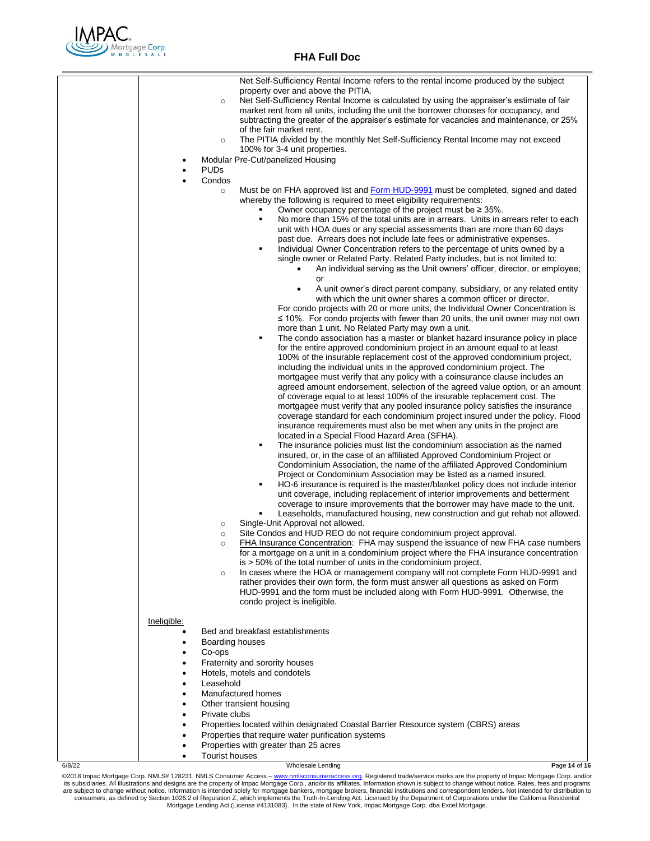

|             |                           | Net Self-Sufficiency Rental Income refers to the rental income produced by the subject                                                                                               |
|-------------|---------------------------|--------------------------------------------------------------------------------------------------------------------------------------------------------------------------------------|
|             |                           | property over and above the PITIA.                                                                                                                                                   |
|             | $\circ$                   | Net Self-Sufficiency Rental Income is calculated by using the appraiser's estimate of fair<br>market rent from all units, including the unit the borrower chooses for occupancy, and |
|             |                           | subtracting the greater of the appraiser's estimate for vacancies and maintenance, or 25%                                                                                            |
|             |                           | of the fair market rent.                                                                                                                                                             |
|             | $\circ$                   | The PITIA divided by the monthly Net Self-Sufficiency Rental Income may not exceed                                                                                                   |
|             |                           | 100% for 3-4 unit properties.                                                                                                                                                        |
|             |                           | Modular Pre-Cut/panelized Housing                                                                                                                                                    |
|             | <b>PUDs</b>               |                                                                                                                                                                                      |
|             | Condos<br>$\circ$         | Must be on FHA approved list and Form HUD-9991 must be completed, signed and dated                                                                                                   |
|             |                           | whereby the following is required to meet eligibility requirements:                                                                                                                  |
|             |                           | Owner occupancy percentage of the project must be $\geq$ 35%.                                                                                                                        |
|             |                           | No more than 15% of the total units are in arrears. Units in arrears refer to each<br>٠                                                                                              |
|             |                           | unit with HOA dues or any special assessments than are more than 60 days                                                                                                             |
|             |                           | past due. Arrears does not include late fees or administrative expenses.                                                                                                             |
|             |                           | Individual Owner Concentration refers to the percentage of units owned by a<br>٠<br>single owner or Related Party. Related Party includes, but is not limited to:                    |
|             |                           | An individual serving as the Unit owners' officer, director, or employee;                                                                                                            |
|             |                           | or                                                                                                                                                                                   |
|             |                           | A unit owner's direct parent company, subsidiary, or any related entity<br>$\bullet$                                                                                                 |
|             |                           | with which the unit owner shares a common officer or director.                                                                                                                       |
|             |                           | For condo projects with 20 or more units, the Individual Owner Concentration is                                                                                                      |
|             |                           | $\leq$ 10%. For condo projects with fewer than 20 units, the unit owner may not own                                                                                                  |
|             |                           | more than 1 unit. No Related Party may own a unit.<br>The condo association has a master or blanket hazard insurance policy in place                                                 |
|             |                           | for the entire approved condominium project in an amount equal to at least                                                                                                           |
|             |                           | 100% of the insurable replacement cost of the approved condominium project,                                                                                                          |
|             |                           | including the individual units in the approved condominium project. The                                                                                                              |
|             |                           | mortgagee must verify that any policy with a coinsurance clause includes an                                                                                                          |
|             |                           | agreed amount endorsement, selection of the agreed value option, or an amount                                                                                                        |
|             |                           | of coverage equal to at least 100% of the insurable replacement cost. The<br>mortgagee must verify that any pooled insurance policy satisfies the insurance                          |
|             |                           | coverage standard for each condominium project insured under the policy. Flood                                                                                                       |
|             |                           | insurance requirements must also be met when any units in the project are                                                                                                            |
|             |                           | located in a Special Flood Hazard Area (SFHA).                                                                                                                                       |
|             |                           | The insurance policies must list the condominium association as the named<br>٠                                                                                                       |
|             |                           | insured, or, in the case of an affiliated Approved Condominium Project or<br>Condominium Association, the name of the affiliated Approved Condominium                                |
|             |                           | Project or Condominium Association may be listed as a named insured.                                                                                                                 |
|             |                           | HO-6 insurance is required is the master/blanket policy does not include interior<br>٠                                                                                               |
|             |                           | unit coverage, including replacement of interior improvements and betterment                                                                                                         |
|             |                           | coverage to insure improvements that the borrower may have made to the unit.                                                                                                         |
|             |                           | Leaseholds, manufactured housing, new construction and gut rehab not allowed.<br>٠                                                                                                   |
|             | $\circ$<br>$\circ$        | Single-Unit Approval not allowed.<br>Site Condos and HUD REO do not require condominium project approval.                                                                            |
|             | $\circ$                   | FHA Insurance Concentration: FHA may suspend the issuance of new FHA case numbers                                                                                                    |
|             |                           | for a mortgage on a unit in a condominium project where the FHA insurance concentration                                                                                              |
|             |                           | $is > 50\%$ of the total number of units in the condominium project.                                                                                                                 |
|             | $\circ$                   | In cases where the HOA or management company will not complete Form HUD-9991 and<br>rather provides their own form, the form must answer all questions as asked on Form              |
|             |                           | HUD-9991 and the form must be included along with Form HUD-9991. Otherwise, the                                                                                                      |
|             |                           | condo project is ineligible.                                                                                                                                                         |
|             |                           |                                                                                                                                                                                      |
| Ineligible: |                           |                                                                                                                                                                                      |
|             |                           | Bed and breakfast establishments                                                                                                                                                     |
| ٠           | Boarding houses<br>Co-ops |                                                                                                                                                                                      |
|             |                           | Fraternity and sorority houses                                                                                                                                                       |
|             |                           | Hotels, motels and condotels                                                                                                                                                         |
|             | Leasehold                 |                                                                                                                                                                                      |
|             |                           | Manufactured homes                                                                                                                                                                   |
|             |                           | Other transient housing                                                                                                                                                              |
| $\bullet$   | Private clubs             |                                                                                                                                                                                      |
|             |                           | Properties located within designated Coastal Barrier Resource system (CBRS) areas                                                                                                    |
|             |                           | Properties that require water purification systems<br>Properties with greater than 25 acres                                                                                          |
| ٠           | <b>Tourist houses</b>     |                                                                                                                                                                                      |
|             |                           |                                                                                                                                                                                      |

6/8/22 Wholesale Lending **P**age **14** of **16**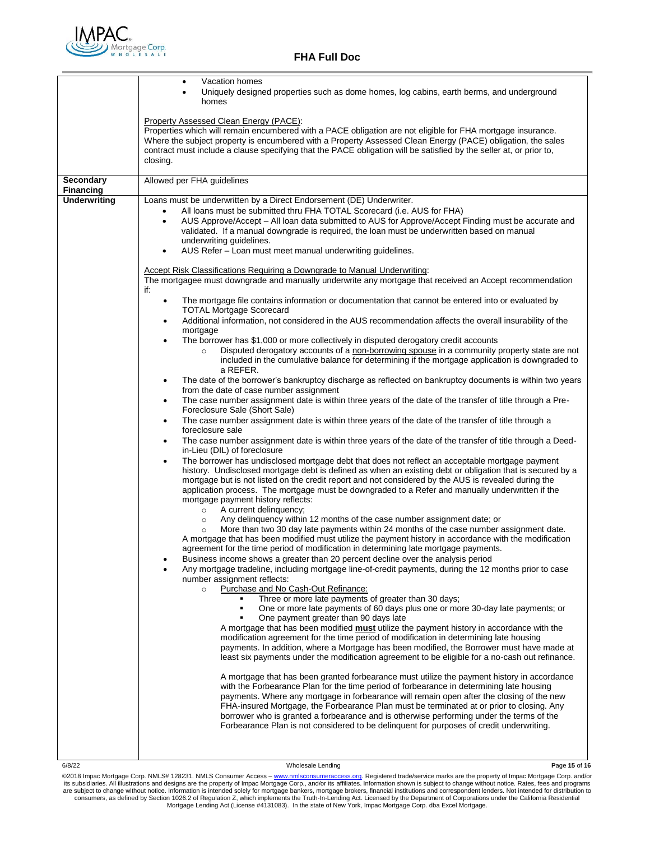

|                                         | Vacation homes<br>$\bullet$<br>Uniquely designed properties such as dome homes, log cabins, earth berms, and underground<br>$\bullet$<br>homes                                                                                                                                                                                                                                                                                                                                                                                                                                                                                                                                                                                                                                                                                                                                                                                                                                                                                                                                                                                                                                                                                                                                                                                                                                                                                                                                                                                                                                                                                                                                                                                                                                                                                                                                                                                                                                                                                                                                                                                                                                                                                                                                                                                                                                                                                                                                                                                                                                                                                                                                                                                                                                                                                                                                                                                                                                                                                                                                                                                                                                                                                                                                                                                                                                                                                                                                                                                                                                                                                                                                                                                                                                                                                                                                                                                                                                                                                                                                                                                                                                                        |
|-----------------------------------------|-------------------------------------------------------------------------------------------------------------------------------------------------------------------------------------------------------------------------------------------------------------------------------------------------------------------------------------------------------------------------------------------------------------------------------------------------------------------------------------------------------------------------------------------------------------------------------------------------------------------------------------------------------------------------------------------------------------------------------------------------------------------------------------------------------------------------------------------------------------------------------------------------------------------------------------------------------------------------------------------------------------------------------------------------------------------------------------------------------------------------------------------------------------------------------------------------------------------------------------------------------------------------------------------------------------------------------------------------------------------------------------------------------------------------------------------------------------------------------------------------------------------------------------------------------------------------------------------------------------------------------------------------------------------------------------------------------------------------------------------------------------------------------------------------------------------------------------------------------------------------------------------------------------------------------------------------------------------------------------------------------------------------------------------------------------------------------------------------------------------------------------------------------------------------------------------------------------------------------------------------------------------------------------------------------------------------------------------------------------------------------------------------------------------------------------------------------------------------------------------------------------------------------------------------------------------------------------------------------------------------------------------------------------------------------------------------------------------------------------------------------------------------------------------------------------------------------------------------------------------------------------------------------------------------------------------------------------------------------------------------------------------------------------------------------------------------------------------------------------------------------------------------------------------------------------------------------------------------------------------------------------------------------------------------------------------------------------------------------------------------------------------------------------------------------------------------------------------------------------------------------------------------------------------------------------------------------------------------------------------------------------------------------------------------------------------------------------------------------------------------------------------------------------------------------------------------------------------------------------------------------------------------------------------------------------------------------------------------------------------------------------------------------------------------------------------------------------------------------------------------------------------------------------------------------------------------------|
|                                         | Property Assessed Clean Energy (PACE):<br>Properties which will remain encumbered with a PACE obligation are not eligible for FHA mortgage insurance.<br>Where the subject property is encumbered with a Property Assessed Clean Energy (PACE) obligation, the sales<br>contract must include a clause specifying that the PACE obligation will be satisfied by the seller at, or prior to,<br>closing.                                                                                                                                                                                                                                                                                                                                                                                                                                                                                                                                                                                                                                                                                                                                                                                                                                                                                                                                                                                                                                                                                                                                                                                                                                                                                                                                                                                                                                                                                                                                                                                                                                                                                                                                                                                                                                                                                                                                                                                                                                                                                                                                                                                                                                                                                                                                                                                                                                                                                                                                                                                                                                                                                                                                                                                                                                                                                                                                                                                                                                                                                                                                                                                                                                                                                                                                                                                                                                                                                                                                                                                                                                                                                                                                                                                               |
| <b>Secondary</b>                        | Allowed per FHA guidelines                                                                                                                                                                                                                                                                                                                                                                                                                                                                                                                                                                                                                                                                                                                                                                                                                                                                                                                                                                                                                                                                                                                                                                                                                                                                                                                                                                                                                                                                                                                                                                                                                                                                                                                                                                                                                                                                                                                                                                                                                                                                                                                                                                                                                                                                                                                                                                                                                                                                                                                                                                                                                                                                                                                                                                                                                                                                                                                                                                                                                                                                                                                                                                                                                                                                                                                                                                                                                                                                                                                                                                                                                                                                                                                                                                                                                                                                                                                                                                                                                                                                                                                                                                            |
| <b>Financing</b><br><b>Underwriting</b> | Loans must be underwritten by a Direct Endorsement (DE) Underwriter.<br>All loans must be submitted thru FHA TOTAL Scorecard (i.e. AUS for FHA)<br>AUS Approve/Accept – All loan data submitted to AUS for Approve/Accept Finding must be accurate and<br>$\bullet$<br>validated. If a manual downgrade is required, the loan must be underwritten based on manual<br>underwriting guidelines.<br>AUS Refer - Loan must meet manual underwriting guidelines.<br>$\bullet$<br>Accept Risk Classifications Requiring a Downgrade to Manual Underwriting:<br>The mortgagee must downgrade and manually underwrite any mortgage that received an Accept recommendation<br>if:<br>The mortgage file contains information or documentation that cannot be entered into or evaluated by<br>$\bullet$<br><b>TOTAL Mortgage Scorecard</b><br>Additional information, not considered in the AUS recommendation affects the overall insurability of the<br>mortgage<br>The borrower has \$1,000 or more collectively in disputed derogatory credit accounts<br>Disputed derogatory accounts of a non-borrowing spouse in a community property state are not<br>included in the cumulative balance for determining if the mortgage application is downgraded to<br>a REFER.<br>The date of the borrower's bankruptcy discharge as reflected on bankruptcy documents is within two years<br>from the date of case number assignment<br>The case number assignment date is within three years of the date of the transfer of title through a Pre-<br>$\bullet$<br>Foreclosure Sale (Short Sale)<br>The case number assignment date is within three years of the date of the transfer of title through a<br>٠<br>foreclosure sale<br>The case number assignment date is within three years of the date of the transfer of title through a Deed-<br>in-Lieu (DIL) of foreclosure<br>The borrower has undisclosed mortgage debt that does not reflect an acceptable mortgage payment<br>٠<br>history. Undisclosed mortgage debt is defined as when an existing debt or obligation that is secured by a<br>mortgage but is not listed on the credit report and not considered by the AUS is revealed during the<br>application process. The mortgage must be downgraded to a Refer and manually underwritten if the<br>mortgage payment history reflects:<br>A current delinquency;<br>$\circ$<br>Any delinquency within 12 months of the case number assignment date; or<br>$\circ$<br>More than two 30 day late payments within 24 months of the case number assignment date.<br>A mortgage that has been modified must utilize the payment history in accordance with the modification<br>agreement for the time period of modification in determining late mortgage payments.<br>Business income shows a greater than 20 percent decline over the analysis period<br>Any mortgage tradeline, including mortgage line-of-credit payments, during the 12 months prior to case<br>number assignment reflects:<br>Purchase and No Cash-Out Refinance:<br>$\circ$<br>Three or more late payments of greater than 30 days;<br>One or more late payments of 60 days plus one or more 30-day late payments; or<br>One payment greater than 90 days late<br>A mortgage that has been modified must utilize the payment history in accordance with the<br>modification agreement for the time period of modification in determining late housing<br>payments. In addition, where a Mortgage has been modified, the Borrower must have made at<br>least six payments under the modification agreement to be eligible for a no-cash out refinance.<br>A mortgage that has been granted forbearance must utilize the payment history in accordance<br>with the Forbearance Plan for the time period of forbearance in determining late housing<br>payments. Where any mortgage in forbearance will remain open after the closing of the new<br>FHA-insured Mortgage, the Forbearance Plan must be terminated at or prior to closing. Any<br>borrower who is granted a forbearance and is otherwise performing under the terms of the<br>Forbearance Plan is not considered to be delinquent for purposes of credit underwriting. |
| 6/8/22                                  | Wholesale Lending<br>Page 15 of 16                                                                                                                                                                                                                                                                                                                                                                                                                                                                                                                                                                                                                                                                                                                                                                                                                                                                                                                                                                                                                                                                                                                                                                                                                                                                                                                                                                                                                                                                                                                                                                                                                                                                                                                                                                                                                                                                                                                                                                                                                                                                                                                                                                                                                                                                                                                                                                                                                                                                                                                                                                                                                                                                                                                                                                                                                                                                                                                                                                                                                                                                                                                                                                                                                                                                                                                                                                                                                                                                                                                                                                                                                                                                                                                                                                                                                                                                                                                                                                                                                                                                                                                                                                    |